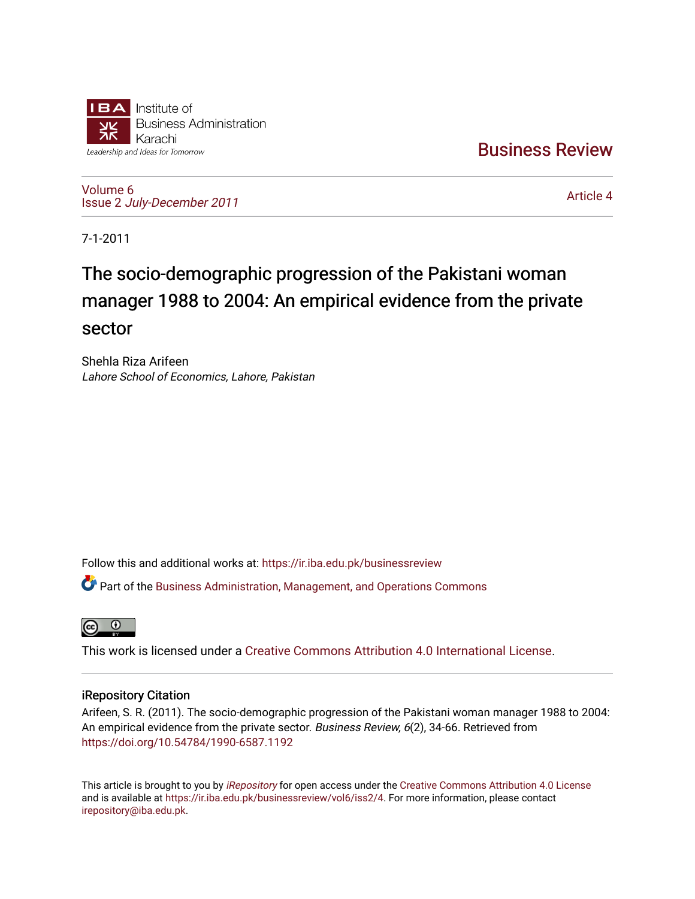

[Business Review](https://ir.iba.edu.pk/businessreview) 

[Volume 6](https://ir.iba.edu.pk/businessreview/vol6) Issue 2 [July-December 2011](https://ir.iba.edu.pk/businessreview/vol6/iss2)

[Article 4](https://ir.iba.edu.pk/businessreview/vol6/iss2/4) 

7-1-2011

# The socio-demographic progression of the Pakistani woman manager 1988 to 2004: An empirical evidence from the private sector

Shehla Riza Arifeen Lahore School of Economics, Lahore, Pakistan

Follow this and additional works at: [https://ir.iba.edu.pk/businessreview](https://ir.iba.edu.pk/businessreview?utm_source=ir.iba.edu.pk%2Fbusinessreview%2Fvol6%2Fiss2%2F4&utm_medium=PDF&utm_campaign=PDFCoverPages) 

Part of the [Business Administration, Management, and Operations Commons](http://network.bepress.com/hgg/discipline/623?utm_source=ir.iba.edu.pk%2Fbusinessreview%2Fvol6%2Fiss2%2F4&utm_medium=PDF&utm_campaign=PDFCoverPages)



This work is licensed under a [Creative Commons Attribution 4.0 International License](https://creativecommons.org/licenses/by/4.0/).

# iRepository Citation

Arifeen, S. R. (2011). The socio-demographic progression of the Pakistani woman manager 1988 to 2004: An empirical evidence from the private sector. Business Review, 6(2), 34-66. Retrieved from <https://doi.org/10.54784/1990-6587.1192>

This article is brought to you by [iRepository](https://ir.iba.edu.pk/) for open access under the Creative Commons Attribution 4.0 License and is available at [https://ir.iba.edu.pk/businessreview/vol6/iss2/4.](https://ir.iba.edu.pk/businessreview/vol6/iss2/4) For more information, please contact [irepository@iba.edu.pk.](mailto:irepository@iba.edu.pk)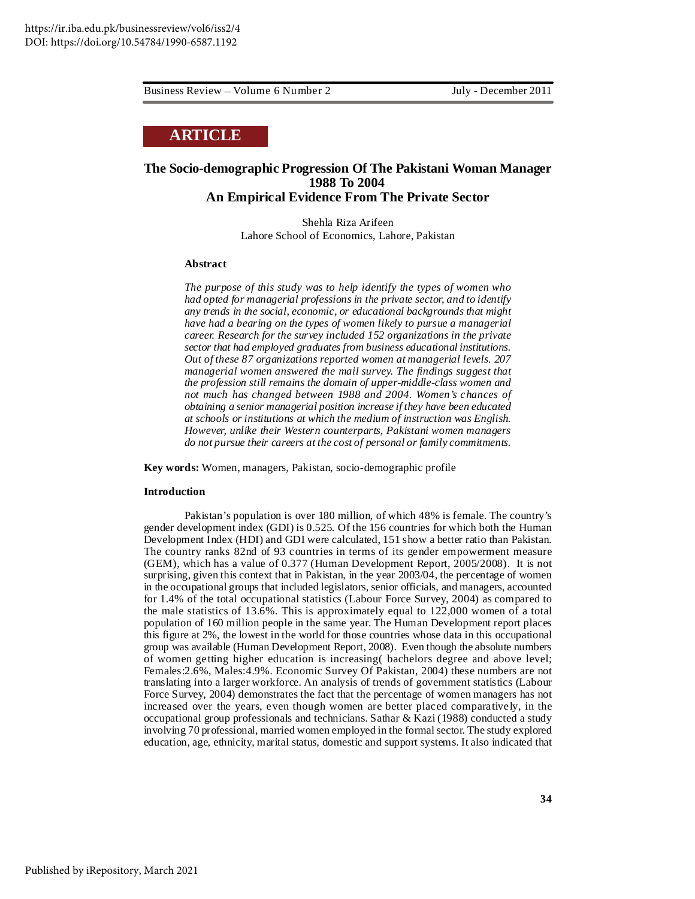# **ARTICLE**

# **The Socio-demographic Progression Of The Pakistani Woman Manager 1988 To 2004 An Empirical Evidence From The Private Sector**

Shehla Riza Arifeen Lahore School of Economics, Lahore, Pakistan

#### **Abstract**

*The purpose of this study was to help identify the types of women who had opted for managerial professions in the private sector, and to identify any trends in the social, economic, or educational backgrounds that might have had a bearing on the types of women likely to pursue a managerial career. Research for the survey included 152 organizations in the private sector that had employed graduates from business educational institutions. Out of these 87 organizations reported women at managerial levels. 207 managerial women answered the mail survey. The findings suggest that the profession still remains the domain of upper-middle-class women and not much has changed between 1988 and 2004. Women's chances of obtaining a senior managerial position increase if they have been educated at schools or institutions at which the medium of instruction was English. However, unlike their Western counterparts, Pakistani women managers do not pursue their careers at the cost of personal or family commitments.*

**Key words:** Women, managers, Pakistan, socio-demographic profile

#### **Introduction**

Pakistan's population is over 180 million, of which 48% is female. The country's gender development index (GDI) is 0.525. Of the 156 countries for which both the Human Development Index (HDI) and GDI were calculated, 151 show a better ratio than Pakistan. The country ranks 82nd of 93 countries in terms of its gender empowerment measure (GEM), which has a value of 0.377 (Human Development Report, 2005/2008). It is not surprising, given this context that in Pakistan, in the year 2003/04, the percentage of women in the occupational groups that included legislators, senior officials, and managers, accounted for 1.4% of the total occupational statistics (Labour Force Survey, 2004) as compared to the male statistics of 13.6%. This is approximately equal to 122,000 women of a total population of 160 million people in the same year. The Human Development report places this figure at 2%, the lowest in the world for those countries whose data in this occupational group was available (Human Development Report, 2008). Even though the absolute numbers of women getting higher education is increasing( bachelors degree and above level; Females:2.6%, Males:4.9%. Economic Survey Of Pakistan, 2004) these numbers are not translating into a larger workforce. An analysis of trends of government statistics (Labour Force Survey, 2004) demonstrates the fact that the percentage of women managers has not increased over the years, even though women are better placed comparatively, in the occupational group professionals and technicians. Sathar & Kazi (1988) conducted a study involving 70 professional, married women employed in the formalsector. The study explored education, age, ethnicity, marital status, domestic and support systems. It also indicated that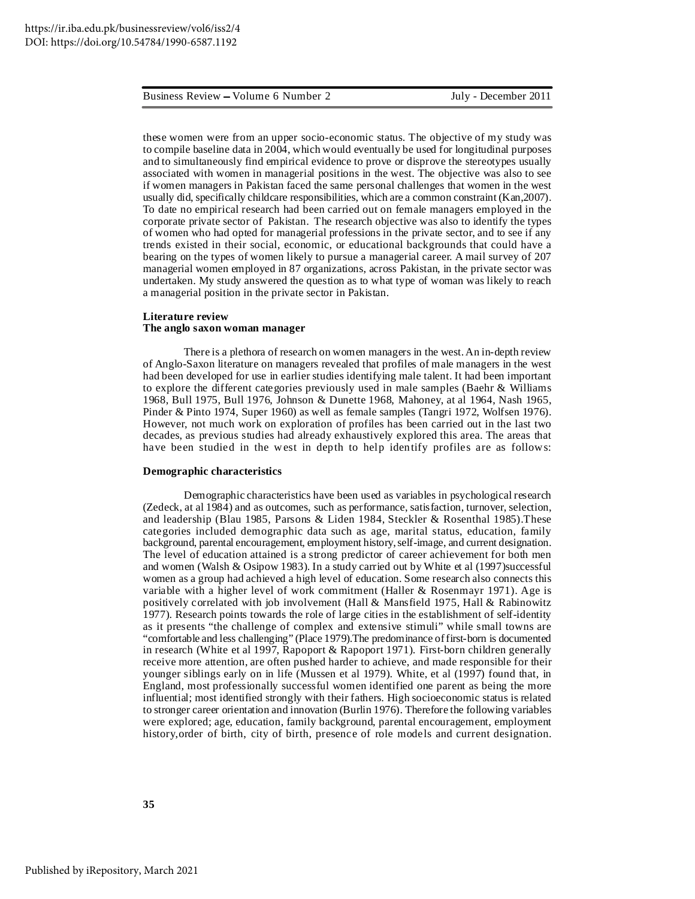these women were from an upper socio-economic status. The objective of my study was to compile baseline data in 2004, which would eventually be used for longitudinal purposes and to simultaneously find empirical evidence to prove or disprove the stereotypes usually associated with women in managerial positions in the west. The objective was also to see if women managers in Pakistan faced the same personal challenges that women in the west usually did, specifically childcare responsibilities, which are a common constraint (Kan,2007). To date no empirical research had been carried out on female managers employed in the corporate private sector of Pakistan. The research objective was also to identify the types of women who had opted for managerial professions in the private sector, and to see if any trends existed in their social, economic, or educational backgrounds that could have a bearing on the types of women likely to pursue a managerial career. A mail survey of 207 managerial women employed in 87 organizations, across Pakistan, in the private sector was undertaken. My study answered the question as to what type of woman was likely to reach a managerial position in the private sector in Pakistan.

#### **Literature review The anglo saxon woman manager**

There is a plethora of research on women managers in the west.An in-depth review of Anglo-Saxon literature on managers revealed that profiles of male managers in the west had been developed for use in earlier studies identifying male talent. It had been important to explore the different categories previously used in male samples (Baehr & Williams 1968, Bull 1975, Bull 1976, Johnson & Dunette 1968, Mahoney, at al 1964, Nash 1965, Pinder & Pinto 1974, Super 1960) as well as female samples (Tangri 1972, Wolfsen 1976). However, not much work on exploration of profiles has been carried out in the last two decades, as previous studies had already exhaustively explored this area. The areas that have been studied in the west in depth to help identify profiles are as follows:

#### **Demographic characteristics**

Demographic characteristics have been used as variables in psychological research (Zedeck, at al 1984) and as outcomes, such as performance, satisfaction, turnover, selection, and leadership (Blau 1985, Parsons & Liden 1984, Steckler & Rosenthal 1985).These categories included demographic data such as age, marital status, education, family background, parental encouragement, employment history,self-image, and current designation. The level of education attained is a strong predictor of career achievement for both men and women (Walsh & Osipow 1983). In a study carried out by White et al (1997)successful women as a group had achieved a high level of education. Some research also connects this variable with a higher level of work commitment (Haller & Rosenmayr 1971). Age is positively correlated with job involvement (Hall & Mansfield 1975, Hall & Rabinowitz 1977). Research points towards the role of large cities in the establishment of self-identity as it presents "the challenge of complex and extensive stimuli" while small towns are "comfortable and less challenging" (Place 1979).The predominance offirst-born is documented in research (White et al 1997, Rapoport & Rapoport 1971). First-born children generally receive more attention, are often pushed harder to achieve, and made responsible for their younger siblings early on in life (Mussen et al 1979). White, et al (1997) found that, in England, most professionally successful women identified one parent as being the more influential; most identified strongly with their fathers. High socioeconomic status is related to stronger career orientation and innovation (Burlin 1976). Therefore the following variables were explored; age, education, family background, parental encouragement, employment history,order of birth, city of birth, presence of role models and current designation.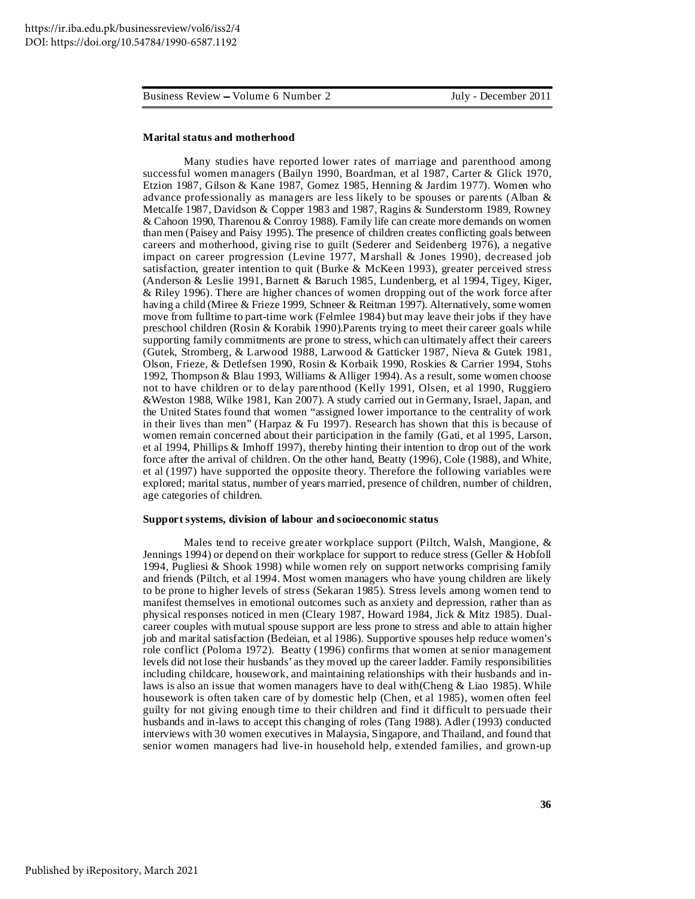#### **Marital status and motherhood**

Many studies have reported lower rates of marriage and parenthood among successful women managers (Bailyn 1990, Boardman, et al 1987, Carter & Glick 1970, Etzion 1987, Gilson & Kane 1987, Gomez 1985, Henning & Jardim 1977). Women who advance professionally as managers are less likely to be spouses or parents (Alban & Metcalfe 1987, Davidson & Copper 1983 and 1987, Ragins & Sunderstorm 1989, Rowney & Cahoon 1990, Tharenou & Conroy 1988). Family life can create more demands on women than men (Paisey and Paisy 1995). The presence of children creates conflicting goals between careers and motherhood, giving rise to guilt (Sederer and Seidenberg 1976), a negative impact on career progression (Levine 1977, Marshall & Jones 1990), decreased job satisfaction, greater intention to quit (Burke & McKeen 1993), greater perceived stress (Anderson & Leslie 1991, Barnett & Baruch 1985, Lundenberg, et al 1994, Tigey, Kiger, & Riley 1996). There are higher chances of women dropping out of the work force after having a child (Miree & Frieze 1999, Schneer & Reitman 1997). Alternatively, some women move from fulltime to part-time work (Felmlee 1984) but may leave their jobs if they have preschool children (Rosin & Korabik 1990).Parents trying to meet their career goals while supporting family commitments are prone to stress, which can ultimately affect their careers (Gutek, Stromberg, & Larwood 1988, Larwood & Gatticker 1987, Nieva & Gutek 1981, Olson, Frieze, & Detlefsen 1990, Rosin & Korbaik 1990, Roskies & Carrier 1994, Stohs 1992, Thompson & Blau 1993, Williams &Alliger 1994).As a result, some women choose not to have children or to delay parenthood (Kelly 1991, Olsen, et al 1990, Ruggiero &Weston 1988, Wilke 1981, Kan 2007). A study carried out in Germany, Israel, Japan, and the United States found that women "assigned lower importance to the centrality of work in their lives than men" (Harpaz  $&$  Fu 1997). Research has shown that this is because of women remain concerned about their participation in the family (Gati, et al 1995, Larson, et al 1994, Phillips & Imhoff 1997), thereby hinting their intention to drop out of the work force after the arrival of children. On the other hand, Beatty (1996), Cole (1988), and White, et al (1997) have supported the opposite theory. Therefore the following variables were explored; marital status, number of years married, presence of children, number of children, age categories of children.

#### **Support systems, division of labour and socioeconomic status**

Males tend to receive greater workplace support (Piltch, Walsh, Mangione, & Jennings 1994) or depend on their workplace for support to reduce stress (Geller & Hobfoll 1994, Pugliesi & Shook 1998) while women rely on support networks comprising family and friends (Piltch, et al 1994. Most women managers who have young children are likely to be prone to higher levels of stress (Sekaran 1985). Stress levels among women tend to manifest themselves in emotional outcomes such as anxiety and depression, rather than as physical responses noticed in men (Cleary 1987, Howard 1984, Jick & Mitz 1985). Dualcareer couples with mutual spouse support are less prone to stress and able to attain higher job and marital satisfaction (Bedeian, et al 1986). Supportive spouses help reduce women's role conflict (Poloma 1972). Beatty (1996) confirms that women at senior management levels did not lose their husbands' as they moved up the career ladder. Family responsibilities including childcare, housework, and maintaining relationships with their husbands and inlaws is also an issue that women managers have to deal with (Cheng & Liao 1985). While housework is often taken care of by domestic help (Chen, et al 1985), women often feel guilty for not giving enough time to their children and find it difficult to persuade their husbands and in-laws to accept this changing of roles (Tang 1988). Adler (1993) conducted interviews with 30 women executives in Malaysia, Singapore, and Thailand, and found that senior women managers had live-in household help, extended families, and grown-up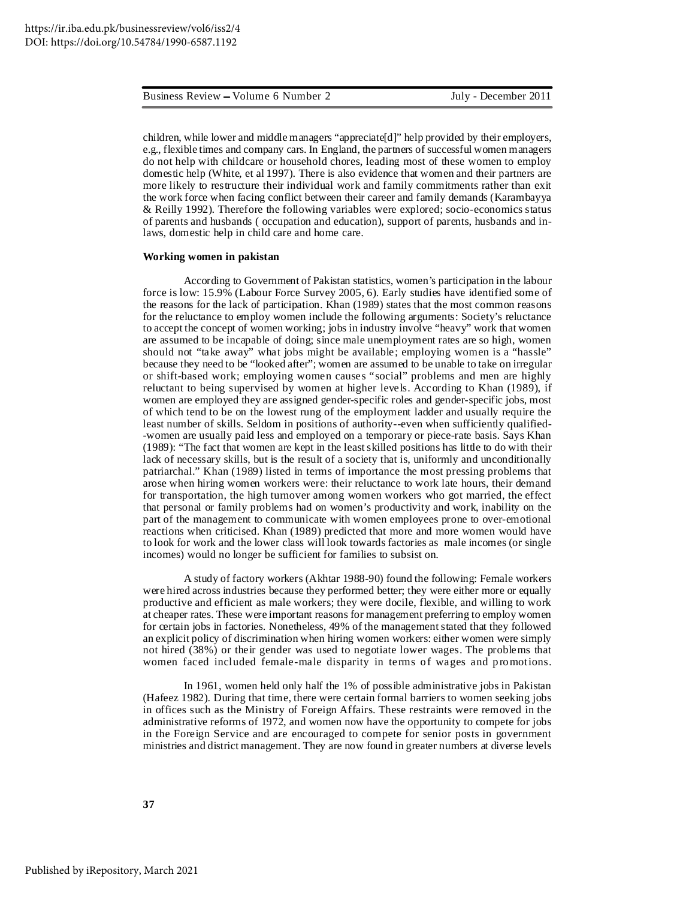children, while lower and middle managers "appreciate[d]" help provided by their employers, e.g., flexible times and company cars. In England, the partners of successful women managers do not help with childcare or household chores, leading most of these women to employ domestic help (White, et al 1997). There is also evidence that women and their partners are more likely to restructure their individual work and family commitments rather than exit the work force when facing conflict between their career and family demands (Karambayya & Reilly 1992). Therefore the following variables were explored; socio-economics status of parents and husbands ( occupation and education), support of parents, husbands and inlaws, domestic help in child care and home care.

#### **Working women in pakistan**

According to Government of Pakistan statistics, women's participation in the labour force is low: 15.9% (Labour Force Survey 2005, 6). Early studies have identified some of the reasons for the lack of participation. Khan (1989) states that the most common reasons for the reluctance to employ women include the following arguments: Society's reluctance to accept the concept of women working; jobs in industry involve "heavy" work that women are assumed to be incapable of doing; since male unemployment rates are so high, women should not "take away" what jobs might be available; employing women is a "hassle" because they need to be "looked after"; women are assumed to be unable to take on irregular or shift-based work; employing women causes "social" problems and men are highly reluctant to being supervised by women at higher levels. According to Khan (1989), if women are employed they are assigned gender-specific roles and gender-specific jobs, most of which tend to be on the lowest rung of the employment ladder and usually require the least number of skills. Seldom in positions of authority--even when sufficiently qualified- -women are usually paid less and employed on a temporary or piece-rate basis. Says Khan (1989): "The fact that women are kept in the leastskilled positions has little to do with their lack of necessary skills, but is the result of a society that is, uniformly and unconditionally patriarchal." Khan (1989) listed in terms of importance the most pressing problems that arose when hiring women workers were: their reluctance to work late hours, their demand for transportation, the high turnover among women workers who got married, the effect that personal or family problems had on women's productivity and work, inability on the part of the management to communicate with women employees prone to over-emotional reactions when criticised. Khan (1989) predicted that more and more women would have to look for work and the lower class will look towards factories as male incomes (or single incomes) would no longer be sufficient for families to subsist on.

A study of factory workers (Akhtar 1988-90) found the following: Female workers were hired across industries because they performed better; they were either more or equally productive and efficient as male workers; they were docile, flexible, and willing to work at cheaper rates. These were important reasons for management preferring to employ women for certain jobs in factories. Nonetheless, 49% of the management stated that they followed an explicit policy of discrimination when hiring women workers: either women were simply not hired (38%) or their gender was used to negotiate lower wages. The problems that women faced included female-male disparity in terms of wages and promotions.

In 1961, women held only half the 1% of possible administrative jobs in Pakistan (Hafeez 1982). During that time, there were certain formal barriers to women seeking jobs in offices such as the Ministry of Foreign Affairs. These restraints were removed in the administrative reforms of 1972, and women now have the opportunity to compete for jobs in the Foreign Service and are encouraged to compete for senior posts in government ministries and district management. They are now found in greater numbers at diverse levels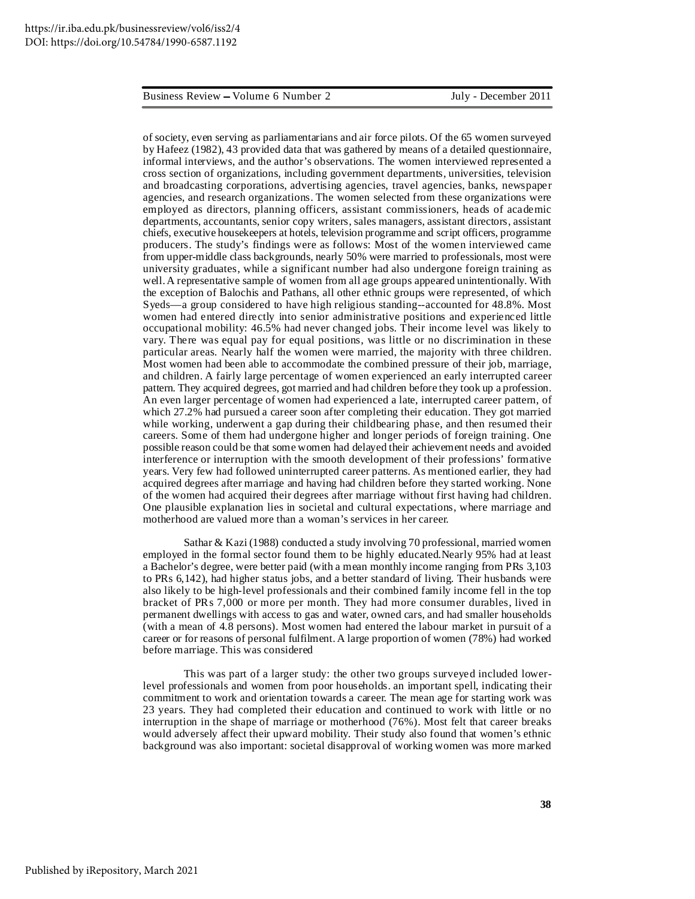of society, even serving as parliamentarians and air force pilots. Of the 65 women surveyed by Hafeez (1982), 43 provided data that was gathered by means of a detailed questionnaire, informal interviews, and the author's observations. The women interviewed represented a cross section of organizations, including government departments, universities, television and broadcasting corporations, advertising agencies, travel agencies, banks, newspaper agencies, and research organizations. The women selected from these organizations were employed as directors, planning officers, assistant commissioners, heads of academic departments, accountants, senior copy writers, sales managers, assistant directors, assistant chiefs, executive housekeepers at hotels, television programme and script officers, programme producers. The study's findings were as follows: Most of the women interviewed came from upper-middle class backgrounds, nearly 50% were married to professionals, most were university graduates, while a significant number had also undergone foreign training as well.A representative sample of women from all age groups appeared unintentionally. With the exception of Balochis and Pathans, all other ethnic groups were represented, of which Syeds—a group considered to have high religious standing--accounted for 48.8%. Most women had entered directly into senior administrative positions and experienced little occupational mobility: 46.5% had never changed jobs. Their income level was likely to vary. There was equal pay for equal positions, was little or no discrimination in these particular areas. Nearly half the women were married, the majority with three children. Most women had been able to accommodate the combined pressure of their job, marriage, and children. A fairly large percentage of women experienced an early interrupted career pattern. They acquired degrees, got married and had children before they took up a profession. An even larger percentage of women had experienced a late, interrupted career pattern, of which 27.2% had pursued a career soon after completing their education. They got married while working, underwent a gap during their childbearing phase, and then resumed their careers. Some of them had undergone higher and longer periods of foreign training. One possible reason could be that some women had delayed their achievement needs and avoided interference or interruption with the smooth development of their professions' formative years. Very few had followed uninterrupted career patterns. As mentioned earlier, they had acquired degrees after marriage and having had children before they started working. None of the women had acquired their degrees after marriage without first having had children. One plausible explanation lies in societal and cultural expectations, where marriage and motherhood are valued more than a woman's services in her career.

Sathar & Kazi (1988) conducted a study involving 70 professional, married women employed in the formal sector found them to be highly educated.Nearly 95% had at least a Bachelor's degree, were better paid (with a mean monthly income ranging from PRs 3,103 to PRs 6,142), had higher status jobs, and a better standard of living. Their husbands were also likely to be high-level professionals and their combined family income fell in the top bracket of PRs 7,000 or more per month. They had more consumer durables, lived in permanent dwellings with access to gas and water, owned cars, and had smaller households (with a mean of 4.8 persons). Most women had entered the labour market in pursuit of a career or for reasons of personal fulfilment.A large proportion of women (78%) had worked before marriage. This was considered

This was part of a larger study: the other two groups surveyed included lowerlevel professionals and women from poor households. an important spell, indicating their commitment to work and orientation towards a career. The mean age for starting work was 23 years. They had completed their education and continued to work with little or no interruption in the shape of marriage or motherhood (76%). Most felt that career breaks would adversely affect their upward mobility. Their study also found that women's ethnic background was also important: societal disapproval of working women was more marked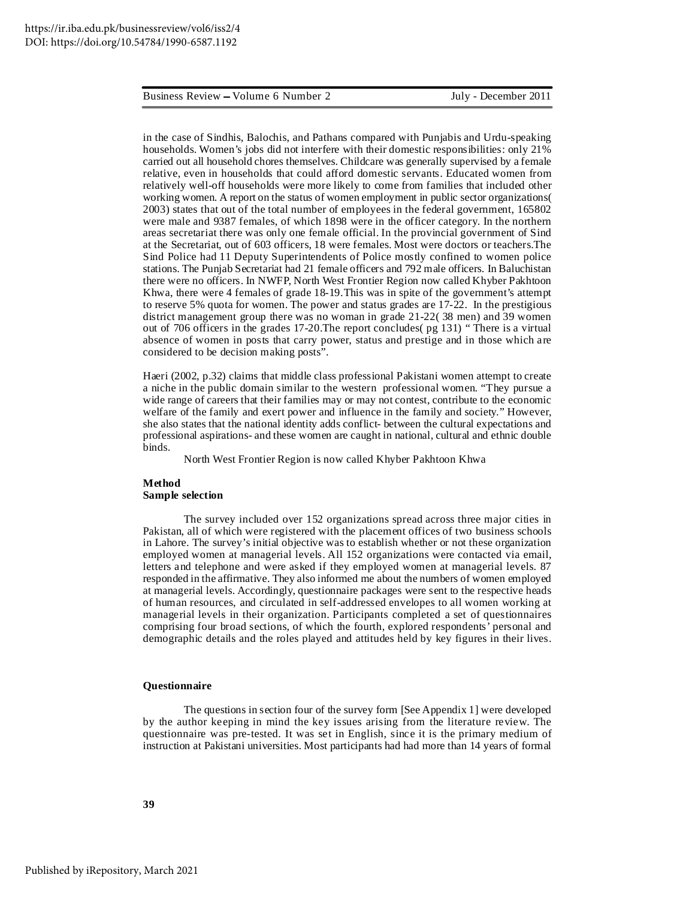in the case of Sindhis, Balochis, and Pathans compared with Punjabis and Urdu-speaking households. Women's jobs did not interfere with their domestic responsibilities: only 21% carried out all household chores themselves. Childcare was generally supervised by a female relative, even in households that could afford domestic servants. Educated women from relatively well-off households were more likely to come from families that included other working women. A report on the status of women employment in public sector organizations( 2003) states that out of the total number of employees in the federal government, 165802 were male and 9387 females, of which 1898 were in the officer category. In the northern areas secretariat there was only one female official. In the provincial government of Sind at the Secretariat, out of 603 officers, 18 were females. Most were doctors or teachers.The Sind Police had 11 Deputy Superintendents of Police mostly confined to women police stations. The Punjab Secretariat had 21 female officers and 792 male officers. In Baluchistan there were no officers. In NWFP, North West Frontier Region now called Khyber Pakhtoon Khwa, there were 4 females of grade 18-19.This was in spite of the government's attempt to reserve 5% quota for women. The power and status grades are 17-22. In the prestigious district management group there was no woman in grade 21-22( 38 men) and 39 women out of 706 officers in the grades 17-20.The report concludes( pg 131) " There is a virtual absence of women in posts that carry power, status and prestige and in those which are considered to be decision making posts".

Haeri (2002, p.32) claims that middle class professional Pakistani women attempt to create a niche in the public domain similar to the western professional women. "They pursue a wide range of careers that their families may or may not contest, contribute to the economic welfare of the family and exert power and influence in the family and society." However, she also states that the national identity adds conflict- between the cultural expectations and professional aspirations- and these women are caught in national, cultural and ethnic double binds.

North West Frontier Region is now called Khyber Pakhtoon Khwa

#### **Method Sample selection**

The survey included over 152 organizations spread across three major cities in Pakistan, all of which were registered with the placement offices of two business schools in Lahore. The survey's initial objective was to establish whether or not these organization employed women at managerial levels. All 152 organizations were contacted via email, letters and telephone and were asked if they employed women at managerial levels. 87 responded in the affirmative. They also informed me about the numbers of women employed at managerial levels. Accordingly, questionnaire packages were sent to the respective heads of human resources, and circulated in self-addressed envelopes to all women working at managerial levels in their organization. Participants completed a set of questionnaires comprising four broad sections, of which the fourth, explored respondents' personal and demographic details and the roles played and attitudes held by key figures in their lives.

#### **Questionnaire**

The questions in section four of the survey form [See Appendix 1] were developed by the author keeping in mind the key issues arising from the literature review. The questionnaire was pre-tested. It was set in English, since it is the primary medium of instruction at Pakistani universities. Most participants had had more than 14 years of formal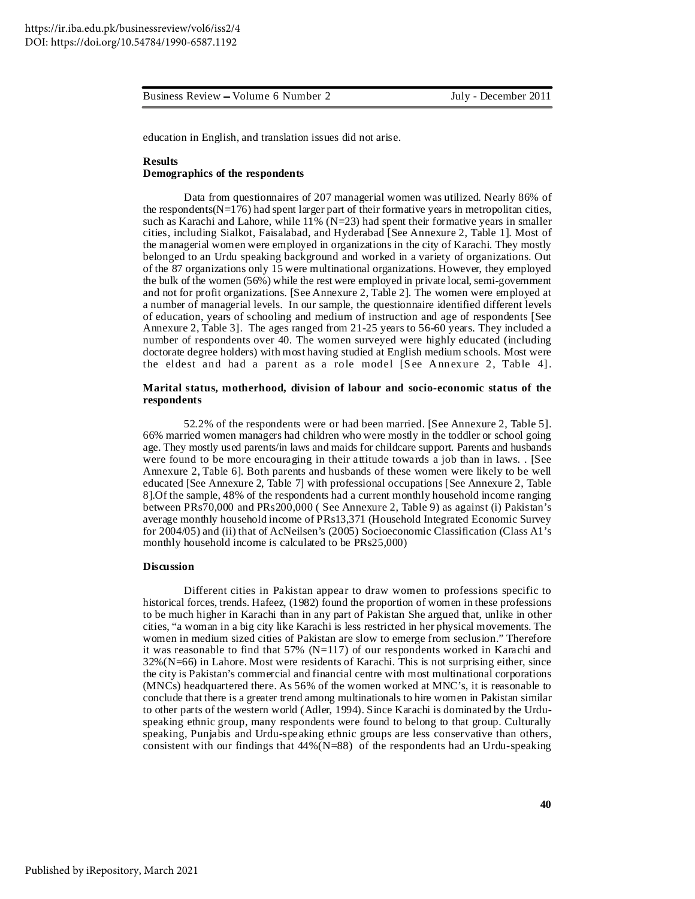education in English, and translation issues did not arise.

#### **Results Demographics of the respondents**

Data from questionnaires of 207 managerial women was utilized. Nearly 86% of the respondents( $N=176$ ) had spent larger part of their formative years in metropolitan cities, such as Karachi and Lahore, while  $11\%$  (N=23) had spent their formative years in smaller cities, including Sialkot, Faisalabad, and Hyderabad [See Annexure 2, Table 1]. Most of the managerial women were employed in organizations in the city of Karachi. They mostly belonged to an Urdu speaking background and worked in a variety of organizations. Out of the 87 organizations only 15 were multinational organizations. However, they employed the bulk of the women (56%) while the rest were employed in private local, semi-government and not for profit organizations. [See Annexure 2, Table 2]. The women were employed at a number of managerial levels. In our sample, the questionnaire identified different levels of education, years of schooling and medium of instruction and age of respondents [See Annexure 2, Table 3]. The ages ranged from 21-25 years to 56-60 years. They included a number of respondents over 40. The women surveyed were highly educated (including doctorate degree holders) with most having studied at English medium schools. Most were the eldest and had a parent as a role model [See Annexure 2, Table 4].

#### **Marital status, motherhood, division of labour and socio***-***economic status of the respondents**

52.2% of the respondents were or had been married. [See Annexure 2, Table 5]. 66% married women managers had children who were mostly in the toddler or school going age. They mostly used parents/in laws and maids for childcare support. Parents and husbands were found to be more encouraging in their attitude towards a job than in laws. . [See Annexure 2, Table 6]. Both parents and husbands of these women were likely to be well educated [See Annexure 2, Table 7] with professional occupations [See Annexure 2, Table 8].Of the sample, 48% of the respondents had a current monthly household income ranging between PRs70,000 and PRs200,000 ( See Annexure 2, Table 9) as against (i) Pakistan's average monthly household income of PRs13,371 (Household Integrated Economic Survey for 2004/05) and (ii) that of AcNeilsen's (2005) Socioeconomic Classification (Class A1's monthly household income is calculated to be PRs25,000)

#### **Discussion**

Different cities in Pakistan appear to draw women to professions specific to historical forces, trends. Hafeez, (1982) found the proportion of women in these professions to be much higher in Karachi than in any part of Pakistan She argued that, unlike in other cities, "a woman in a big city like Karachi is less restricted in her physical movements. The women in medium sized cities of Pakistan are slow to emerge from seclusion." Therefore it was reasonable to find that  $57\%$  (N=117) of our respondents worked in Karachi and 32%(N=66) in Lahore. Most were residents of Karachi. This is not surprising either, since the city is Pakistan's commercial and financial centre with most multinational corporations (MNCs) headquartered there. As 56% of the women worked at MNC's, it is reasonable to conclude that there is a greater trend among multinationals to hire women in Pakistan similar to other parts of the western world (Adler, 1994). Since Karachi is dominated by the Urduspeaking ethnic group, many respondents were found to belong to that group. Culturally speaking, Punjabis and Urdu-speaking ethnic groups are less conservative than others, consistent with our findings that  $44\%$  (N=88) of the respondents had an Urdu-speaking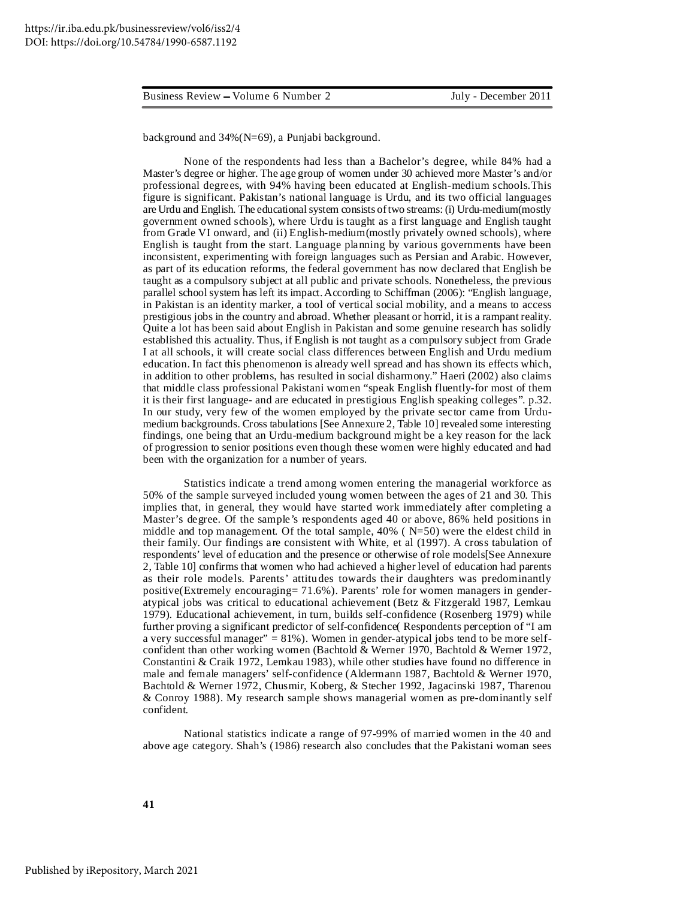background and 34%(N=69), a Punjabi background.

None of the respondents had less than a Bachelor's degree, while 84% had a Master's degree or higher. The age group of women under 30 achieved more Master's and/or professional degrees, with 94% having been educated at English-medium schools.This figure is significant. Pakistan's national language is Urdu, and its two official languages are Urdu and English. The educational system consists of two streams: (i) Urdu-medium (mostly government owned schools), where Urdu is taught as a first language and English taught from Grade VI onward, and (ii) English-medium(mostly privately owned schools), where English is taught from the start. Language planning by various governments have been inconsistent, experimenting with foreign languages such as Persian and Arabic. However, as part of its education reforms, the federal government has now declared that English be taught as a compulsory subject at all public and private schools. Nonetheless, the previous parallel school system has left its impact. According to Schiffman (2006): "English language, in Pakistan is an identity marker, a tool of vertical social mobility, and a means to access prestigious jobs in the country and abroad. Whether pleasant or horrid, it is a rampant reality. Quite a lot has been said about English in Pakistan and some genuine research has solidly established this actuality. Thus, if English is not taught as a compulsory subject from Grade I at all schools, it will create social class differences between English and Urdu medium education. In fact this phenomenon is already well spread and has shown its effects which, in addition to other problems, has resulted in social disharmony." Haeri (2002) also claims that middle class professional Pakistani women "speak English fluently-for most of them it is their first language- and are educated in prestigious English speaking colleges". p.32. In our study, very few of the women employed by the private sector came from Urdumedium backgrounds. Cross tabulations [See Annexure 2, Table 10] revealed some interesting findings, one being that an Urdu-medium background might be a key reason for the lack of progression to senior positions even though these women were highly educated and had been with the organization for a number of years.

Statistics indicate a trend among women entering the managerial workforce as 50% of the sample surveyed included young women between the ages of 21 and 30. This implies that, in general, they would have started work immediately after completing a Master's degree. Of the sample's respondents aged 40 or above, 86% held positions in middle and top management. Of the total sample,  $40\%$  (N=50) were the eldest child in their family. Our findings are consistent with White, et al (1997). A cross tabulation of respondents' level of education and the presence or otherwise of role models[See Annexure 2, Table 10] confirms that women who had achieved a higher level of education had parents as their role models. Parents' attitudes towards their daughters was predominantly positive(Extremely encouraging= 71.6%). Parents' role for women managers in genderatypical jobs was critical to educational achievement (Betz & Fitzgerald 1987, Lemkau 1979). Educational achievement, in turn, builds self-confidence (Rosenberg 1979) while further proving a significant predictor of self-confidence( Respondents perception of "I am a very successful manager" =  $81\%$ ). Women in gender-atypical jobs tend to be more selfconfident than other working women (Bachtold & Werner 1970, Bachtold & Werner 1972, Constantini & Craik 1972, Lemkau 1983), while other studies have found no difference in male and female managers' self-confidence (Aldermann 1987, Bachtold & Werner 1970, Bachtold & Werner 1972, Chusmir, Koberg, & Stecher 1992, Jagacinski 1987, Tharenou & Conroy 1988). My research sample shows managerial women as pre-dominantly self confident.

National statistics indicate a range of 97-99% of married women in the 40 and above age category. Shah's (1986) research also concludes that the Pakistani woman sees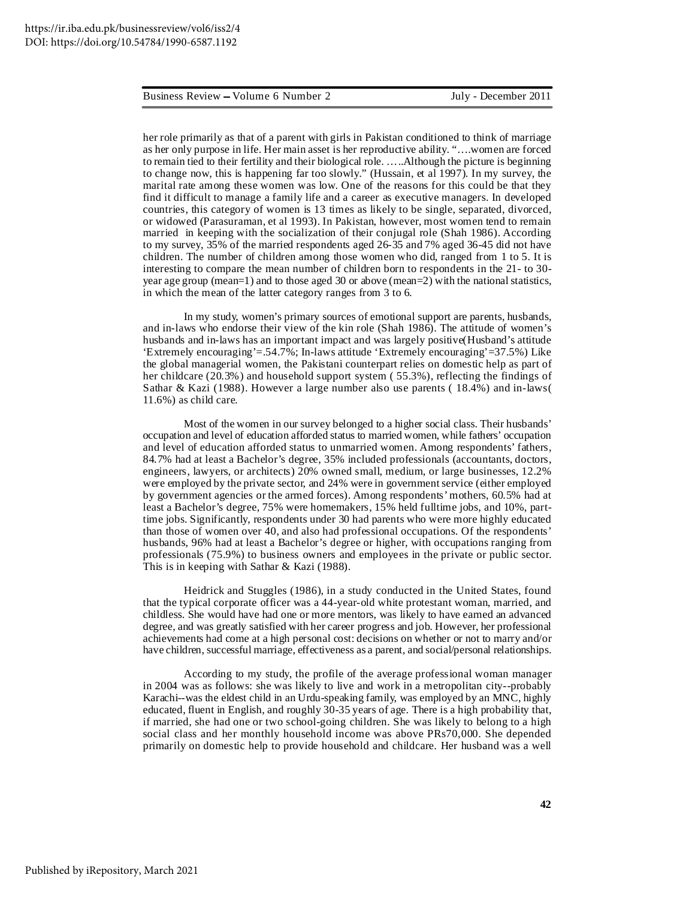her role primarily as that of a parent with girls in Pakistan conditioned to think of marriage as her only purpose in life. Her main asset is her reproductive ability. "….women are forced to remain tied to their fertility and their biological role. …..Although the picture is beginning to change now, this is happening far too slowly." (Hussain, et al 1997). In my survey, the marital rate among these women was low. One of the reasons for this could be that they find it difficult to manage a family life and a career as executive managers. In developed countries, this category of women is 13 times as likely to be single, separated, divorced, or widowed (Parasuraman, et al 1993). In Pakistan, however, most women tend to remain married in keeping with the socialization of their conjugal role (Shah 1986). According to my survey, 35% of the married respondents aged 26-35 and 7% aged 36-45 did not have children. The number of children among those women who did, ranged from 1 to 5. It is interesting to compare the mean number of children born to respondents in the 21- to 30 year age group (mean=1) and to those aged 30 or above (mean=2) with the national statistics, in which the mean of the latter category ranges from 3 to 6.

In my study, women's primary sources of emotional support are parents, husbands, and in-laws who endorse their view of the kin role (Shah 1986). The attitude of women's husbands and in-laws has an important impact and was largely positive(Husband's attitude 'Extremely encouraging'=.54.7%; In-laws attitude 'Extremely encouraging'=37.5%) Like the global managerial women, the Pakistani counterpart relies on domestic help as part of her childcare (20.3%) and household support system (55.3%), reflecting the findings of Sathar & Kazi (1988). However a large number also use parents ( 18.4%) and in-laws( 11.6%) as child care.

Most of the women in our survey belonged to a higher social class. Their husbands' occupation and level of education afforded status to married women, while fathers' occupation and level of education afforded status to unmarried women. Among respondents' fathers, 84.7% had at least a Bachelor's degree, 35% included professionals (accountants, doctors, engineers, lawyers, or architects) 20% owned small, medium, or large businesses, 12.2% were employed by the private sector, and 24% were in governmentservice (either employed by government agencies or the armed forces). Among respondents'mothers, 60.5% had at least a Bachelor's degree, 75% were homemakers, 15% held fulltime jobs, and 10%, parttime jobs. Significantly, respondents under 30 had parents who were more highly educated than those of women over 40, and also had professional occupations. Of the respondents' husbands, 96% had at least a Bachelor's degree or higher, with occupations ranging from professionals (75.9%) to business owners and employees in the private or public sector. This is in keeping with Sathar & Kazi (1988).

Heidrick and Stuggles (1986), in a study conducted in the United States, found that the typical corporate officer was a 44-year-old white protestant woman, married, and childless. She would have had one or more mentors, was likely to have earned an advanced degree, and was greatly satisfied with her career progress and job. However, her professional achievements had come at a high personal cost: decisions on whether or not to marry and/or have children, successful marriage, effectiveness as a parent, and social/personal relationships.

According to my study, the profile of the average professional woman manager in 2004 was as follows: she was likely to live and work in a metropolitan city--probably Karachi--was the eldest child in an Urdu-speaking family, was employed by an MNC, highly educated, fluent in English, and roughly 30-35 years of age. There is a high probability that, if married, she had one or two school-going children. She was likely to belong to a high social class and her monthly household income was above PRs70,000. She depended primarily on domestic help to provide household and childcare. Her husband was a well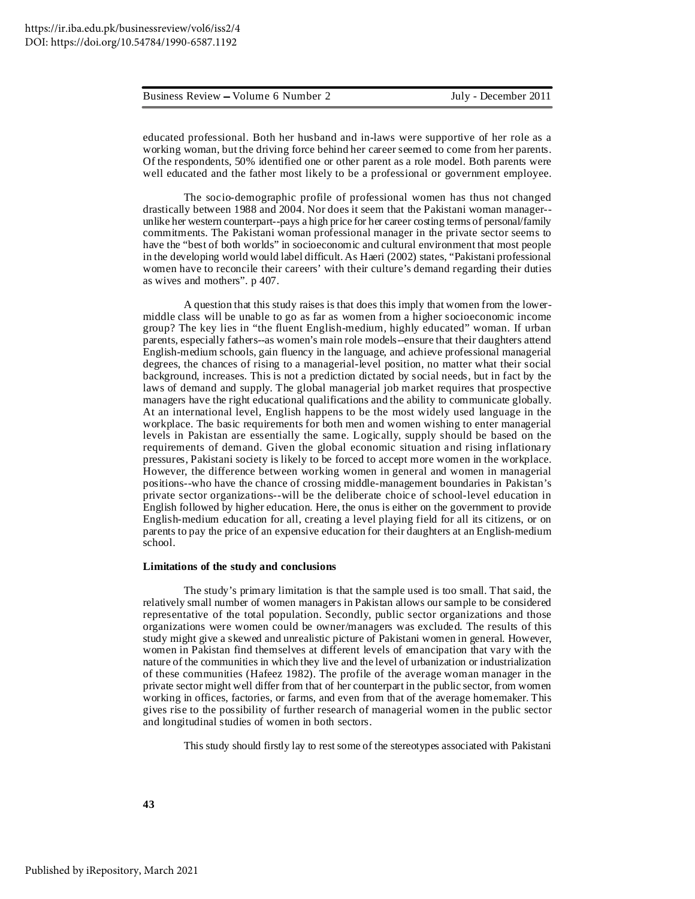| Business Review – Volume 6 Number 2 |  |  |  |  |  |
|-------------------------------------|--|--|--|--|--|
|-------------------------------------|--|--|--|--|--|

educated professional. Both her husband and in-laws were supportive of her role as a working woman, but the driving force behind her career seemed to come from her parents. Of the respondents, 50% identified one or other parent as a role model. Both parents were well educated and the father most likely to be a professional or government employee.

The socio-demographic profile of professional women has thus not changed drastically between 1988 and 2004. Nor does it seem that the Pakistani woman manager- unlike her western counterpart--pays a high price for her career costing terms of personal/family commitments. The Pakistani woman professional manager in the private sector seems to have the "best of both worlds" in socioeconomic and cultural environment that most people in the developing world would label difficult.As Haeri (2002) states, "Pakistani professional women have to reconcile their careers' with their culture's demand regarding their duties as wives and mothers". p 407.

A question that this study raises is that does this imply that women from the lowermiddle class will be unable to go as far as women from a higher socioeconomic income group? The key lies in "the fluent English-medium, highly educated" woman. If urban parents, especially fathers--as women's main role models--ensure that their daughters attend English-medium schools, gain fluency in the language, and achieve professional managerial degrees, the chances of rising to a managerial-level position, no matter what their social background, increases. This is not a prediction dictated by social needs, but in fact by the laws of demand and supply. The global managerial job market requires that prospective managers have the right educational qualifications and the ability to communicate globally. At an international level, English happens to be the most widely used language in the workplace. The basic requirements for both men and women wishing to enter managerial levels in Pakistan are essentially the same. Logically, supply should be based on the requirements of demand. Given the global economic situation and rising inflationary pressures, Pakistani society is likely to be forced to accept more women in the workplace. However, the difference between working women in general and women in managerial positions--who have the chance of crossing middle-management boundaries in Pakistan's private sector organizations--will be the deliberate choice of school-level education in English followed by higher education. Here, the onus is either on the government to provide English-medium education for all, creating a level playing field for all its citizens, or on parents to pay the price of an expensive education for their daughters at an English-medium school.

#### **Limitations of the study and conclusions**

The study's primary limitation is that the sample used is too small. That said, the relatively small number of women managers in Pakistan allows our sample to be considered representative of the total population. Secondly, public sector organizations and those organizations were women could be owner/managers was excluded. The results of this study might give a skewed and unrealistic picture of Pakistani women in general. However, women in Pakistan find themselves at different levels of emancipation that vary with the nature of the communities in which they live and the level of urbanization or industrialization of these communities (Hafeez 1982). The profile of the average woman manager in the private sector might well differ from that of her counterpart in the public sector, from women working in offices, factories, or farms, and even from that of the average homemaker. This gives rise to the possibility of further research of managerial women in the public sector and longitudinal studies of women in both sectors.

This study should firstly lay to restsome of the stereotypes associated with Pakistani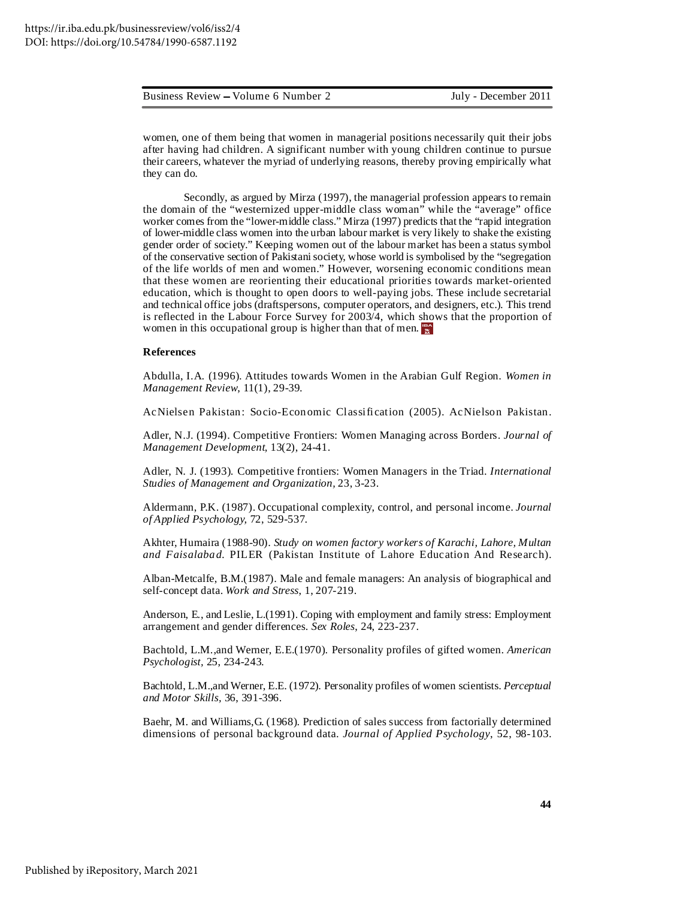women, one of them being that women in managerial positions necessarily quit their jobs after having had children. A significant number with young children continue to pursue their careers, whatever the myriad of underlying reasons, thereby proving empirically what they can do.

Secondly, as argued by Mirza (1997), the managerial profession appears to remain the domain of the "westernized upper-middle class woman" while the "average" office worker comes from the "lower-middle class." Mirza (1997) predicts that the "rapid integration of lower-middle class women into the urban labour market is very likely to shake the existing gender order of society." Keeping women out of the labour market has been a status symbol of the conservative section of Pakistanisociety, whose world is symbolised by the "segregation of the life worlds of men and women." However, worsening economic conditions mean that these women are reorienting their educational priorities towards market-oriented education, which is thought to open doors to well-paying jobs. These include secretarial and technical office jobs (draftspersons, computer operators, and designers, etc.). This trend is reflected in the Labour Force Survey for 2003/4, which shows that the proportion of women in this occupational group is higher than that of men.

#### **References**

Abdulla, I.A. (1996). Attitudes towards Women in the Arabian Gulf Region. *Women in Management Review*, 11(1), 29-39.

AcNielsen Pakistan: Socio-Economic Classification (2005). AcNielson Pakistan.

Adler, N.J. (1994). Competitive Frontiers: Women Managing across Borders. *Journal of Management Development,* 13(2), 24-41.

Adler, N. J. (1993). Competitive frontiers: Women Managers in the Triad. *International Studies of Management and Organization,* 23, 3-23.

Aldermann, P.K. (1987). Occupational complexity, control, and personal income. *Journal of Applied Psychology,* 72, 529-537.

Akhter, Humaira (1988-90). *Study on women factory workers of Karachi, Lahore, Multan and Faisalabad.* PILER (Pakistan Institute of Lahore Education And Research).

Alban-Metcalfe, B.M.(1987). Male and female managers: An analysis of biographical and self-concept data. *Work and Stress*, 1, 207-219.

Anderson, E., and Leslie, L.(1991). Coping with employment and family stress: Employment arrangement and gender differences. *Sex Roles*, 24, 223-237.

Bachtold, L.M.,and Werner, E.E.(1970). Personality profiles of gifted women. *American Psychologist,* 25, 234-243.

Bachtold, L.M.,and Werner, E.E. (1972). Personality profiles of women scientists. *Perceptual and Motor Skills,* 36, 391-396.

Baehr, M. and Williams,G. (1968). Prediction of sales success from factorially determined dimensions of personal background data. *Journal of Applied Psychology*, 52, 98-103.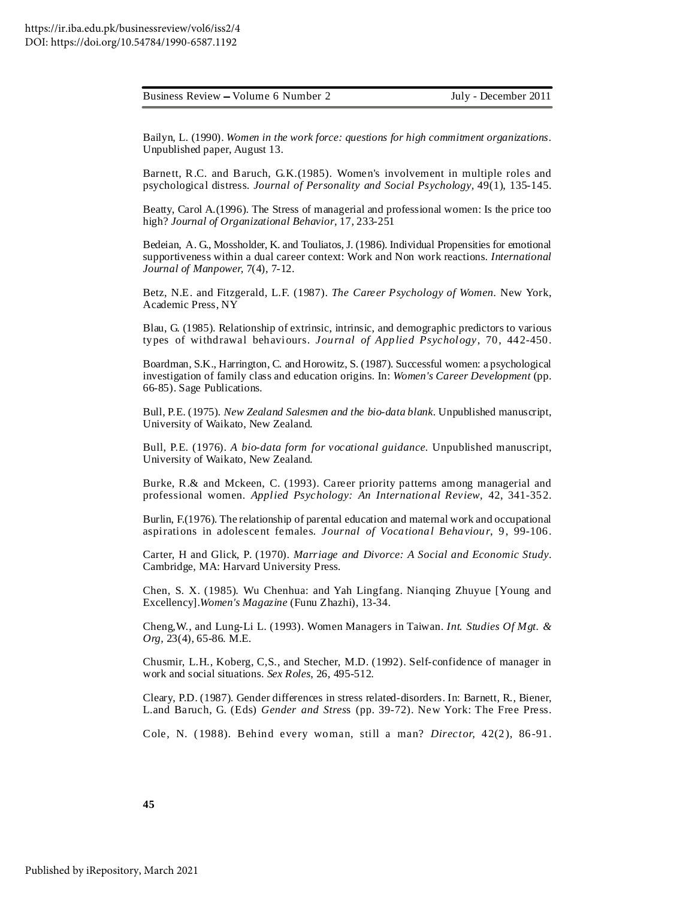Bailyn, L. (1990). *Women in the work force: questions for high commitment organizations.* Unpublished paper, August 13.

Barnett, R.C. and Baruch, G.K.(1985). Women's involvement in multiple roles and psychological distress. *Journal of Personality and Social Psychology,* 49(1), 135-145.

Beatty, Carol A.(1996). The Stress of managerial and professional women: Is the price too high? *Journal of Organizational Behavior*, 17, 233-251

Bedeian, A. G., Mossholder, K. and Touliatos, J. (1986). Individual Propensities for emotional supportiveness within a dual career context: Work and Non work reactions. *International Journal of Manpower,* 7(4), 7-12.

Betz, N.E. and Fitzgerald, L.F. (1987). *The Career Psychology of Women.* New York, Academic Press, NY

Blau, G. (1985). Relationship of extrinsic, intrinsic, and demographic predictors to various types of withdrawal behaviours. *Journal of Applied Psychology*, 70, 442-450.

Boardman, S.K., Harrington, C. and Horowitz, S. (1987). Successful women: a psychological investigation of family class and education origins. In: *Women's Career Development* (pp. 66-85). Sage Publications.

Bull, P.E. (1975). *New Zealand Salesmen and the bio-data blank.* Unpublished manuscript, University of Waikato, New Zealand.

Bull, P.E. (1976). *A bio-data form for vocational guidance.* Unpublished manuscript, University of Waikato, New Zealand.

Burke, R.& and Mckeen, C. (1993). Career priority patterns among managerial and professional women. *Applied Psychology: An International Review*, 42, 341-352.

Burlin, F.(1976). The relationship of parental education and maternal work and occupational aspirations in adolescent females. *Journal of Vocational Behaviour*, 9, 99-106.

Carter, H and Glick, P. (1970). *Marriage and Divorce: A Social and Economic Study*. Cambridge, MA: Harvard University Press.

Chen, S. X. (1985). Wu Chenhua: and Yah Lingfang. Nianqing Zhuyue [Young and Excellency].*Women's Magazine* (Funu Zhazhi), 13-34.

Cheng,W., and Lung-Li L. (1993). Women Managers in Taiwan. *Int. Studies Of Mgt. & Org,* 23(4), 65-86. M.E.

Chusmir, L.H., Koberg, C,S., and Stecher, M.D. (1992). Self-confidence of manager in work and social situations. *Sex Roles*, 26, 495-512.

Cleary, P.D. (1987). Gender differences in stress related-disorders. In: Barnett, R., Biener, L.and Baruch, G. (Eds) *Gender and Stres*s (pp. 39-72). New York: The Free Press.

Cole, N. ( 1988). Behind every woman, still a man? *Director,* 42(2), 86-91.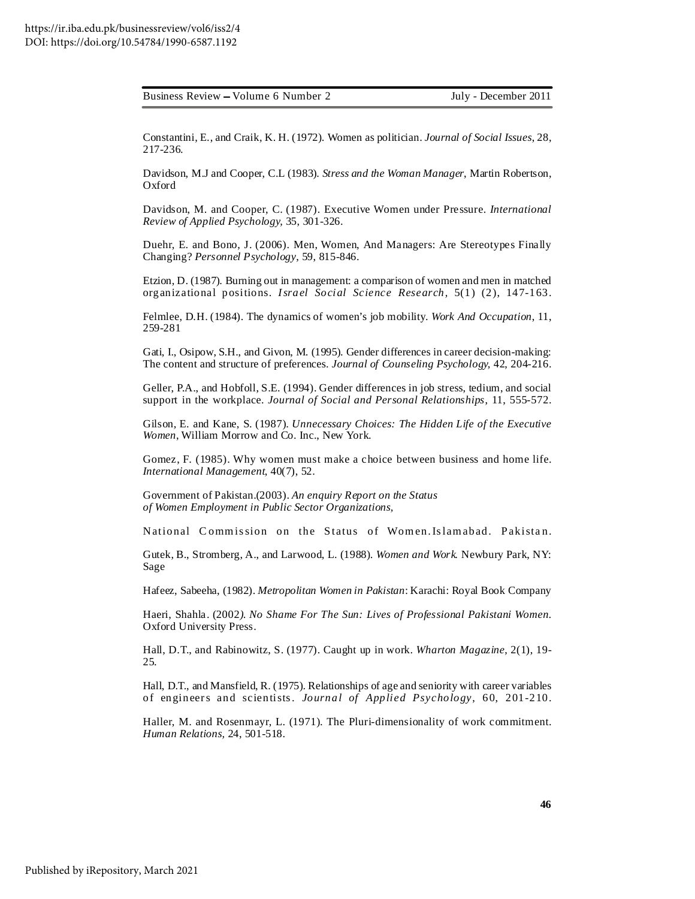Constantini, E., and Craik, K. H. (1972). Women as politician. *Journal of Social Issues*, 28, 217-236.

Davidson, M.J and Cooper, C.L (1983). *Stress and the Woman Manager*, Martin Robertson, Oxford

Davidson, M. and Cooper, C. (1987). Executive Women under Pressure. *International Review of Applied Psychology,* 35, 301-326.

Duehr, E. and Bono, J. (2006). Men, Women, And Managers: Are Stereotypes Finally Changing? *Personnel Psychology*, 59, 815-846.

Etzion, D. (1987). Burning out in management: a comparison of women and men in matched organizational positions. *Israel Social Science Research,* 5(1) (2), 147-163.

Felmlee, D.H. (1984). The dynamics of women's job mobility. *Work And Occupation*, 11, 259-281

Gati, I., Osipow, S.H., and Givon, M. (1995). Gender differences in career decision-making: The content and structure of preferences. *Journal of Counseling Psychology,* 42, 204-216.

Geller, P.A., and Hobfoll, S.E. (1994). Gender differences in job stress, tedium, and social support in the workplace. *Journal of Social and Personal Relationships*, 11, 555-572.

Gilson, E. and Kane, S. (1987). *Unnecessary Choices: The Hidden Life of the Executive Women*, William Morrow and Co. Inc., New York.

Gomez, F. (1985). Why women must make a choice between business and home life. *International Management*, 40(7), 52.

Government of Pakistan.(2003). *An enquiry Report on the Status of Women Employment in Public Sector Organizations,*

National Commission on the Status of Women.Islamabad. Pakistan.

Gutek, B., Stromberg, A., and Larwood, L. (1988). *Women and Work.* Newbury Park, NY: Sage

Hafeez, Sabeeha, (1982). *Metropolitan Women in Pakistan*: Karachi: Royal Book Company

Haeri, Shahla. (2002*). No Shame For The Sun: Lives of Professional Pakistani Women.* Oxford University Press.

Hall, D.T., and Rabinowitz, S. (1977). Caught up in work. *Wharton Magazine*, 2(1), 19- 25.

Hall, D.T., and Mansfield, R. (1975). Relationships of age and seniority with career variables of engineers and scientists. *Journal of Applied Psychology*, 60, 201-210.

Haller, M. and Rosenmayr, L. (1971). The Pluri-dimensionality of work commitment. *Human Relations,* 24, 501-518.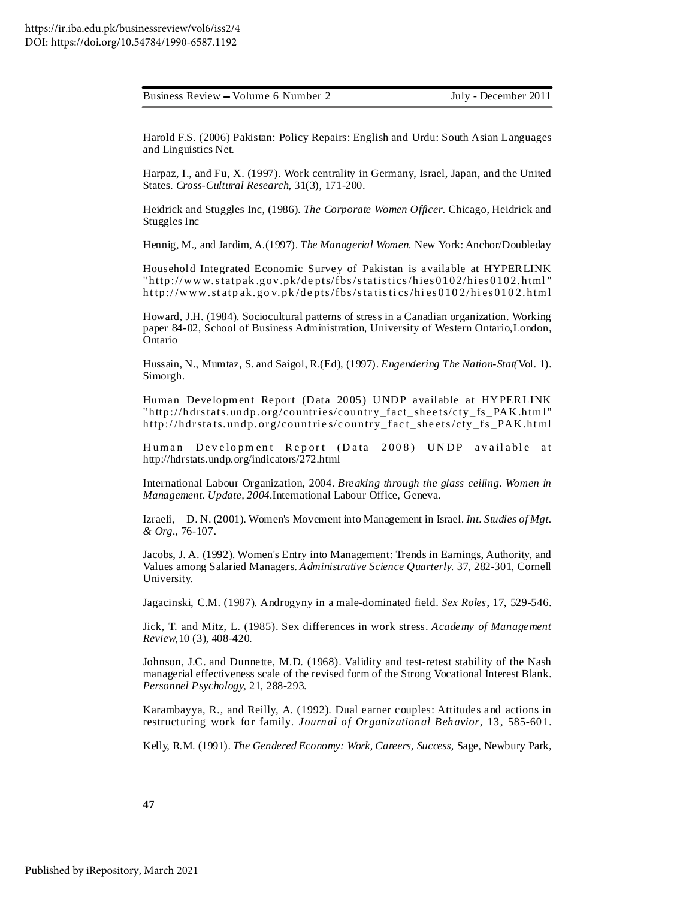Harold F.S. (2006) Pakistan: Policy Repairs: English and Urdu: South Asian Languages and Linguistics Net.

Harpaz, I., and Fu, X. (1997). Work centrality in Germany, Israel, Japan, and the United States. *Cross-Cultural Research,* 31(3), 171-200.

Heidrick and Stuggles Inc, (1986). *The Corporate Women Officer*. Chicago, Heidrick and Stuggles Inc

Hennig, M., and Jardim, A.(1997). *The Managerial Women*. New York: Anchor/Doubleday

Household Integrated Economic Survey of Pakistan is available at HYPERLINK " http://www.statpak .gov.pk/de pts/f bs/statistics/hies 0102/hies 0102. html " ht tp:/ /www.st atp ak. go v. pk /de pts/f bs/sta tisti cs/hi es 010 2/hi es 010 2. html

Howard, J.H. (1984). Sociocultural patterns of stress in a Canadian organization. Working paper 84-02, School of Business Administration, University of Western Ontario,London, Ontario

Hussain, N., Mumtaz, S. and Saigol, R.(Ed), (1997). *Engendering The Nation-Stat(*Vol. 1). Simorgh.

Human Development Report (Data 2005) UNDP available at HYPERLINK "http://hdrstats.undp.org/countries/country\_fact\_sheets/cty\_fs\_PAK.html" http://hdrstats.undp.org/countries/country\_fact\_sheets/cty\_fs\_PAK.html

Human Development Report (Data 2008) UNDP available at http://hdrstats.undp.org/indicators/272.html

International Labour Organization, 2004. *Breaking through the glass ceiling. Women in Management. Update, 2004.*International Labour Office, Geneva.

Izraeli, D. N. (2001). Women's Movement into Management in Israel. *Int. Studies of Mgt. & Org.*, 76-107.

Jacobs, J. A. (1992). Women's Entry into Management: Trends in Earnings, Authority, and Values among Salaried Managers. *Administrative Science Quarterly*. 37, 282-301, Cornell University.

Jagacinski, C.M. (1987). Androgyny in a male-dominated field. *Sex Roles*, 17, 529-546.

Jick, T. and Mitz, L. (1985). Sex differences in work stress. *Academy of Management Review*,10 (3), 408-420.

Johnson, J.C. and Dunnette, M.D. (1968). Validity and test-retest stability of the Nash managerial effectiveness scale of the revised form of the Strong Vocational Interest Blank. *Personnel Psychology,* 21, 288-293.

Karambayya, R., and Reilly, A. (1992). Dual earner couples: Attitudes and actions in restructuring work for family. *Journal of Organizational Behavior*, 13, 585-601.

Kelly, R.M. (1991). *The Gendered Economy: Work, Careers, Success,* Sage, Newbury Park,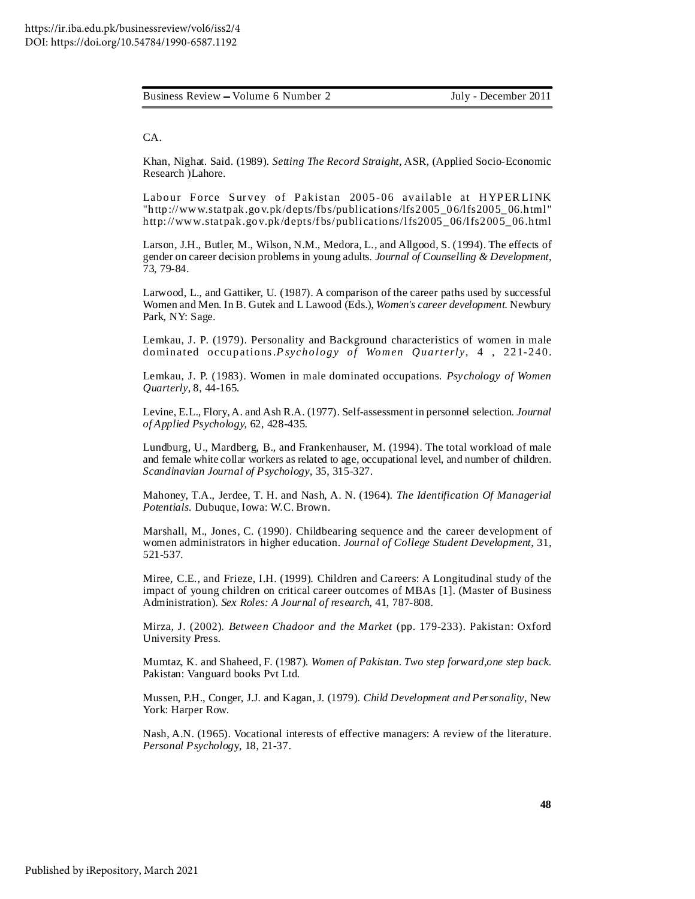CA.

Khan, Nighat. Said. (1989). *Setting The Record Straight,* ASR, (Applied Socio-Economic Research )Lahore.

Labour Force Survey of Pakistan 2005-06 available at HYPERLINK "http://www.statpak.gov.pk/depts/fbs/publications/lfs2005\_06/lfs2005\_06.html " http://www.statpak.gov.pk/depts/f bs/publications/lfs2005\_06/lfs2005\_06.html

Larson, J.H., Butler, M., Wilson, N.M., Medora, L., and Allgood, S. (1994). The effects of gender on career decision problems in young adults. *Journal of Counselling & Development*, 73, 79-84.

Larwood, L., and Gattiker, U. (1987). A comparison of the career paths used by successful Women and Men. In B. Gutek and L Lawood (Eds.), *Women's career development*. Newbury Park, NY: Sage.

Lemkau, J. P. (1979). Personality and Background characteristics of women in male dominated occupations.*P sychology of Women Quarterly*, 4 , 221- 240.

Lemkau, J. P. (1983). Women in male dominated occupations. *Psychology of Women Quarterly*, 8, 44-165.

Levine, E.L., Flory,A. and Ash R.A. (1977). Self-assessment in personnel selection. *Journal of Applied Psychology,* 62, 428-435.

Lundburg, U., Mardberg, B., and Frankenhauser, M. (1994). The total workload of male and female white collar workers as related to age, occupational level, and number of children. *Scandinavian Journal of Psychology*, 35, 315-327.

Mahoney, T.A., Jerdee, T. H. and Nash, A. N. (1964). *The Identification Of Managerial Potentials.* Dubuque, Iowa: W.C. Brown.

Marshall, M., Jones, C. (1990). Childbearing sequence and the career development of women administrators in higher education. *Journal of College Student Development*, 31, 521-537.

Miree, C.E., and Frieze, I.H. (1999). Children and Careers: A Longitudinal study of the impact of young children on critical career outcomes of MBAs [1]. (Master of Business Administration). *Sex Roles: A Journal of research*, 41, 787-808.

Mirza, J. (2002). *Between Chadoor and the Market* (pp. 179-233). Pakistan: Oxford University Press.

Mumtaz, K. and Shaheed, F. (1987). *Women of Pakistan. Two step forward,one step back.* Pakistan: Vanguard books Pvt Ltd.

Mussen, P.H., Conger, J.J. and Kagan, J. (1979). *Child Development and Personality*, New York: Harper Row.

Nash, A.N. (1965). Vocational interests of effective managers: A review of the literature. *Personal Psycholog*y, 18, 21-37.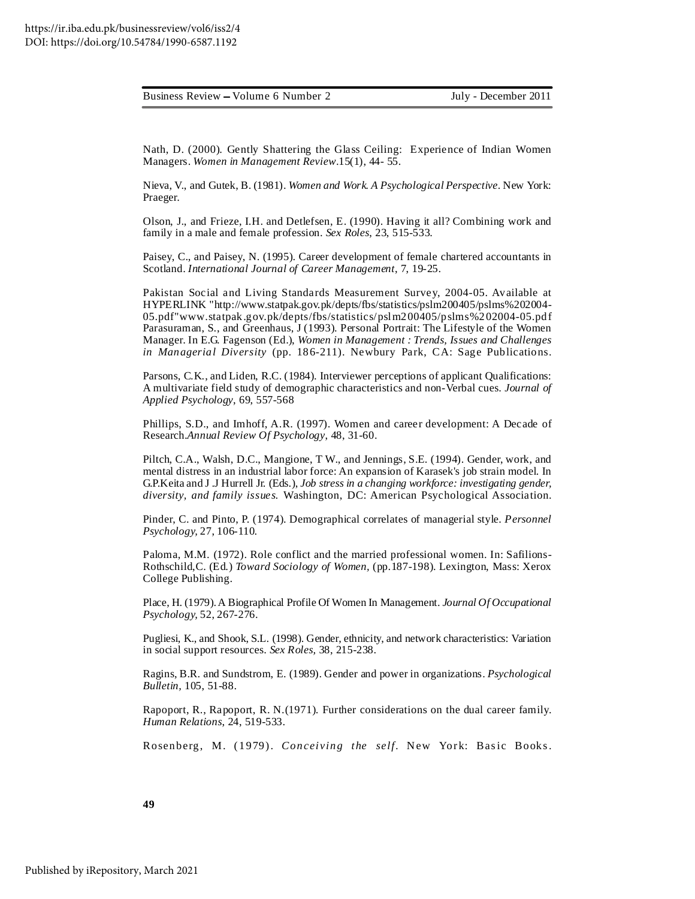| Business Review – Volume 6 Number 2 |  |  |
|-------------------------------------|--|--|
|                                     |  |  |

Nath, D. (2000). Gently Shattering the Glass Ceiling: Experience of Indian Women Managers. *Women in Management Review*.15(1), 44- 55.

Nieva, V., and Gutek, B. (1981). *Women and Work. A Psychological Perspective*. New York: Praeger.

Olson, J., and Frieze, I.H. and Detlefsen, E. (1990). Having it all? Combining work and family in a male and female profession. *Sex Roles*, 23, 515-533.

Paisey, C., and Paisey, N. (1995). Career development of female chartered accountants in Scotland. *International Journal of Career Management*, 7, 19-25.

Pakistan Social and Living Standards Measurement Survey, 2004-05. Available at HYPERLINK "http://www.statpak.gov.pk/depts/fbs/statistics/pslm200405/pslms%202004- 05.pdf"www.statpak.gov.pk/depts/fbs/statistics/pslm200405/pslms%202004-05.pdf Parasuraman, S., and Greenhaus, J (1993). Personal Portrait: The Lifestyle of the Women Manager. In E.G. Fagenson (Ed.), *Women in Management : Trends, Issues and Challenges in Managerial Diversity* (pp. 186-211). Newbury Park, CA: Sage Publications.

Parsons, C.K., and Liden, R.C. (1984). Interviewer perceptions of applicant Qualifications: A multivariate field study of demographic characteristics and non-Verbal cues. *Journal of Applied Psychology*, 69, 557-568

Phillips, S.D., and Imhoff, A.R. (1997). Women and career development: A Decade of Research.*Annual Review Of Psychology*, 48, 31-60.

Piltch, C.A., Walsh, D.C., Mangione, T W., and Jennings, S.E. (1994). Gender, work, and mental distress in an industrial labor force: An expansion of Karasek's job strain model. In G.P.Keita and J .J Hurrell Jr. (Eds.), *Job stress in a changing workforce: investigating gender, diversity, and family issues.* Washington, DC: American Psychological Association.

Pinder, C. and Pinto, P. (1974). Demographical correlates of managerial style. *Personnel Psychology,* 27, 106-110.

Paloma, M.M. (1972). Role conflict and the married professional women. In: Safilions-Rothschild,C. (Ed.) *Toward Sociology of Women,* (pp.187-198). Lexington, Mass: Xerox College Publishing.

Place, H. (1979).A Biographical Profile Of Women In Management. *Journal Of Occupational Psychology,* 52, 267-276.

Pugliesi, K., and Shook, S.L. (1998). Gender, ethnicity, and network characteristics: Variation in social support resources. *Sex Roles,* 38, 215-238.

Ragins, B.R. and Sundstrom, E. (1989). Gender and power in organizations. *Psychological Bulletin,* 105, 51-88.

Rapoport, R., Rapoport, R. N.(1971). Further considerations on the dual career family. *Human Relations*, 24, 519-533.

Rosenberg, M. (1979). *Conceiving the self.* New York: Basic Books.

**49**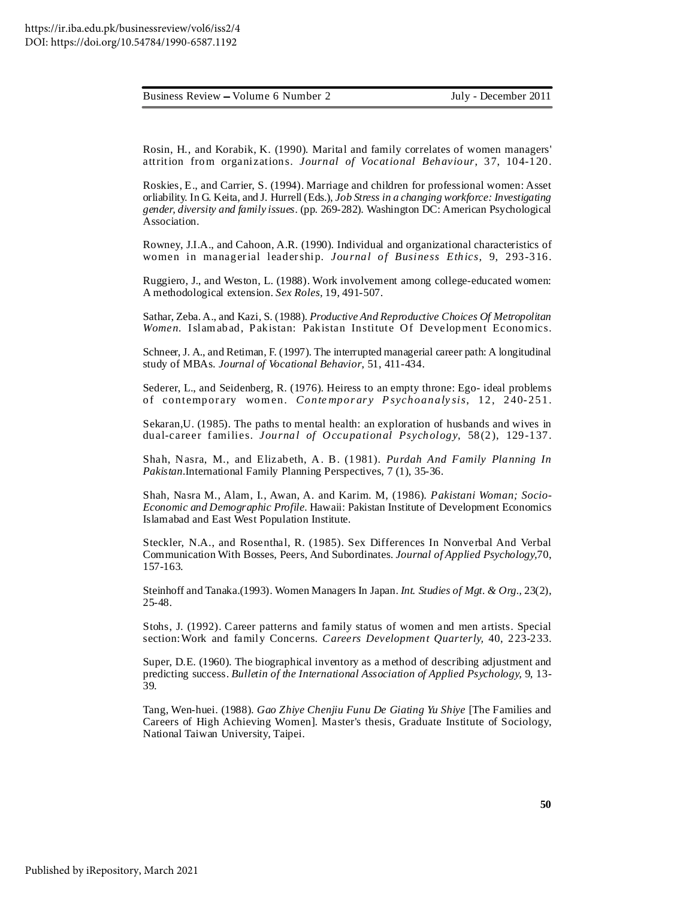Rosin, H., and Korabik, K. (1990). Marital and family correlates of women managers' attrition from organizations. *Journal of Vocational Behaviour*, 37, 104-120.

Roskies, E., and Carrier, S. (1994). Marriage and children for professional women: Asset orliability. In G. Keita, and J. Hurrell (Eds.), *Job Stress in a changing workforce: Investigating gender, diversity and family issues.* (pp. 269-282). Washington DC: American Psychological Association.

Rowney, J.I.A., and Cahoon, A.R. (1990). Individual and organizational characteristics of women in managerial leadership. *Journal of Business Ethics,* 9, 293-316.

Ruggiero, J., and Weston, L. (1988). Work involvement among college-educated women: A methodological extension. *Sex Roles,* 19, 491-507.

Sathar, Zeba.A., and Kazi, S. (1988). *Productive And Reproductive Choices Of Metropolitan Women.* Islamabad, Pakistan: Pakistan Institute Of Development Economics.

Schneer, J. A., and Retiman, F. (1997). The interrupted managerial career path: A longitudinal study of MBAs. *Journal of Vocational Behavior*, 51, 411-434.

Sederer, L., and Seidenberg, R. (1976). Heiress to an empty throne: Ego- ideal problems of contempor ary women. *Conte mpor ar y P sychoanaly sis*, 12, 240- 251.

Sekaran,U. (1985). The paths to mental health: an exploration of husbands and wives in dual-career f amilies. *Journal of Occupational Psychology*, 58(2), 129-137.

Shah, Nasra, M., and Elizabeth, A. B. (1981). *Purdah And Family Planning In Pakistan.*International Family Planning Perspectives, 7 (1), 35-36.

Shah, Nasra M., Alam, I., Awan, A. and Karim. M, (1986). *Pakistani Woman; Socio-Economic and Demographic Profile.* Hawaii: Pakistan Institute of Development Economics Islamabad and East West Population Institute.

Steckler, N.A., and Rosenthal, R. (1985). Sex Differences In Nonverbal And Verbal Communication With Bosses, Peers, And Subordinates. *Journal of Applied Psychology,*70, 157-163.

Steinhoff and Tanaka.(1993). Women Managers In Japan. *Int. Studies of Mgt. & Org.,* 23(2), 25-48.

Stohs, J. (1992). Career patterns and family status of women and men artists. Special section:Work and family Concerns. *Careers Development Quarterly,* 40, 223-233.

Super, D.E. (1960). The biographical inventory as a method of describing adjustment and predicting success. *Bulletin of the International Association of Applied Psychology,* 9, 13- 39.

Tang, Wen-huei. (1988). *Gao Zhiye Chenjiu Funu De Giating Yu Shiye* [The Families and Careers of High Achieving Women]. Master's thesis, Graduate Institute of Sociology, National Taiwan University, Taipei.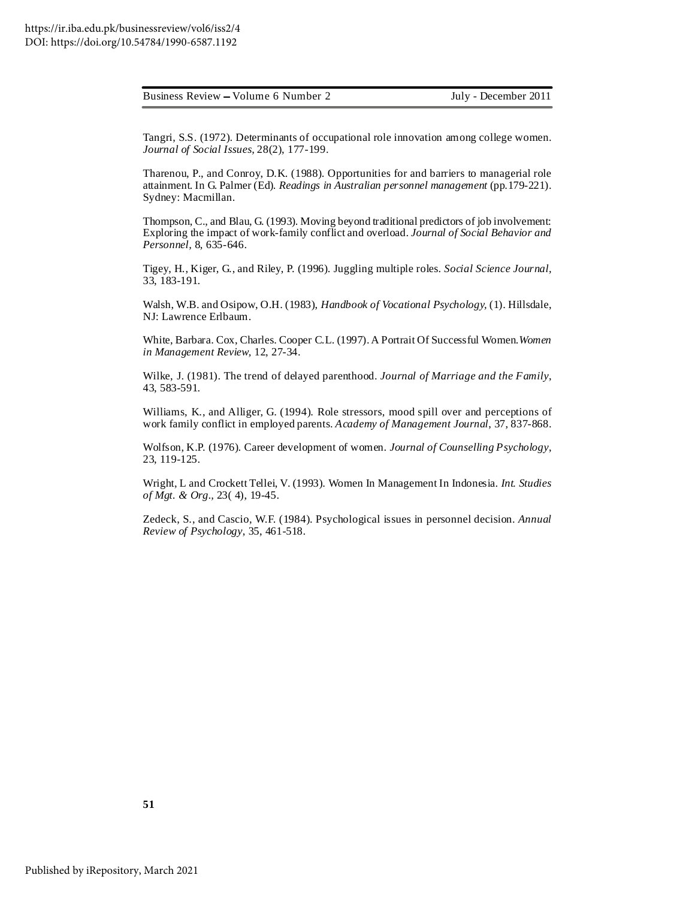Tangri, S.S. (1972). Determinants of occupational role innovation among college women. *Journal of Social Issues,* 28(2), 177-199.

Tharenou, P., and Conroy, D.K. (1988). Opportunities for and barriers to managerial role attainment. In G. Palmer (Ed). *Readings in Australian personnel management* (pp.179-221). Sydney: Macmillan.

Thompson, C., and Blau, G. (1993). Moving beyond traditional predictors of job involvement: Exploring the impact of work-family conflict and overload. *Journal of Social Behavior and Personnel,* 8, 635-646.

Tigey, H., Kiger, G., and Riley, P. (1996). Juggling multiple roles. *Social Science Journal,* 33, 183-191.

Walsh, W.B. and Osipow, O.H. (1983), *Handbook of Vocational Psychology,* (1). Hillsdale, NJ: Lawrence Erlbaum.

White, Barbara. Cox, Charles. Cooper C.L. (1997).A Portrait Of Successful Women.*Women in Management Review,* 12, 27-34.

Wilke, J. (1981). The trend of delayed parenthood. *Journal of Marriage and the Family*, 43, 583-591.

Williams, K., and Alliger, G. (1994). Role stressors, mood spill over and perceptions of work family conflict in employed parents. *Academy of Management Journal*, 37, 837-868.

Wolfson, K.P. (1976). Career development of women. *Journal of Counselling Psychology*, 23, 119-125.

Wright, L and Crockett Tellei, V. (1993). Women In Management In Indonesia. *Int. Studies of Mgt. & Org.,* 23( 4), 19-45.

Zedeck, S., and Cascio, W.F. (1984). Psychological issues in personnel decision. *Annual Review of Psychology*, 35, 461-518.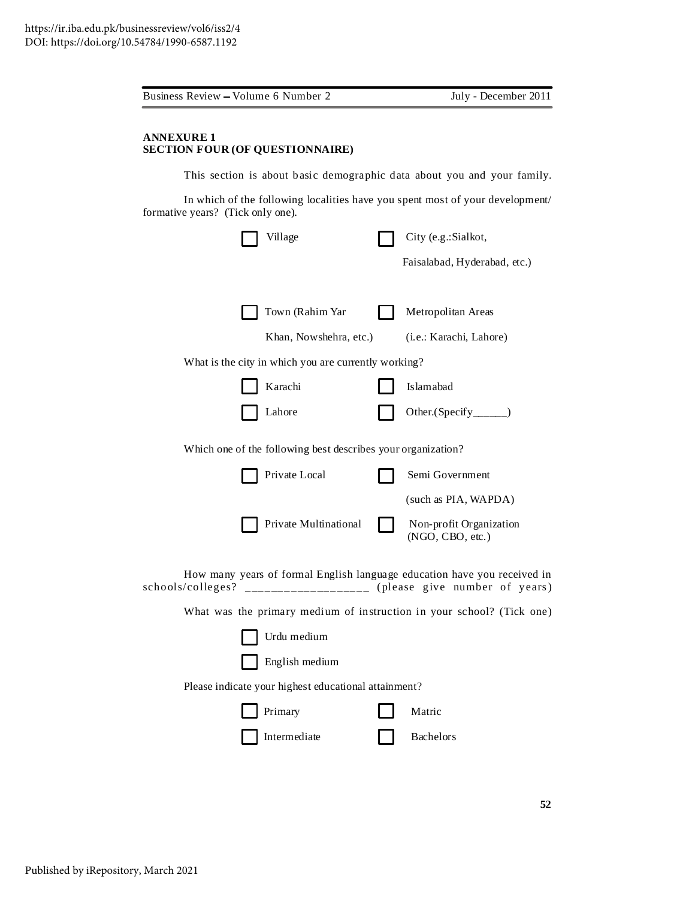|                                   | Business Review – Volume 6 Number 2                                           | July - December 2011                              |
|-----------------------------------|-------------------------------------------------------------------------------|---------------------------------------------------|
| <b>ANNEXURE 1</b>                 | <b>SECTION FOUR (OF QUESTIONNAIRE)</b>                                        |                                                   |
|                                   | This section is about basic demographic data about you and your family.       |                                                   |
| formative years? (Tick only one). | In which of the following localities have you spent most of your development/ |                                                   |
|                                   | Village                                                                       | City (e.g.:Sialkot,                               |
|                                   |                                                                               | Faisalabad, Hyderabad, etc.)                      |
|                                   | Town (Rahim Yar                                                               | Metropolitan Areas                                |
|                                   | Khan, Nowshehra, etc.)                                                        | (i.e.: Karachi, Lahore)                           |
|                                   | What is the city in which you are currently working?                          |                                                   |
|                                   | Karachi                                                                       | Islamabad                                         |
|                                   | Lahore                                                                        | Other.(Specify______)                             |
|                                   | Which one of the following best describes your organization?                  |                                                   |
|                                   | Private Local                                                                 | Semi Government                                   |
|                                   |                                                                               | (such as PIA, WAPDA)                              |
|                                   | Private Multinational                                                         | Non-profit Organization<br>(NGO, CBO, etc.)       |
| schools/colleges?                 | How many years of formal English language education have you received in      | ------------------- (please give number of years) |
|                                   | What was the primary medium of instruction in your school? (Tick one)         |                                                   |
|                                   | Urdu medium                                                                   |                                                   |
|                                   | English medium                                                                |                                                   |
|                                   | Please indicate your highest educational attainment?                          |                                                   |
|                                   | Primary                                                                       | Matric                                            |
|                                   | Intermediate                                                                  |                                                   |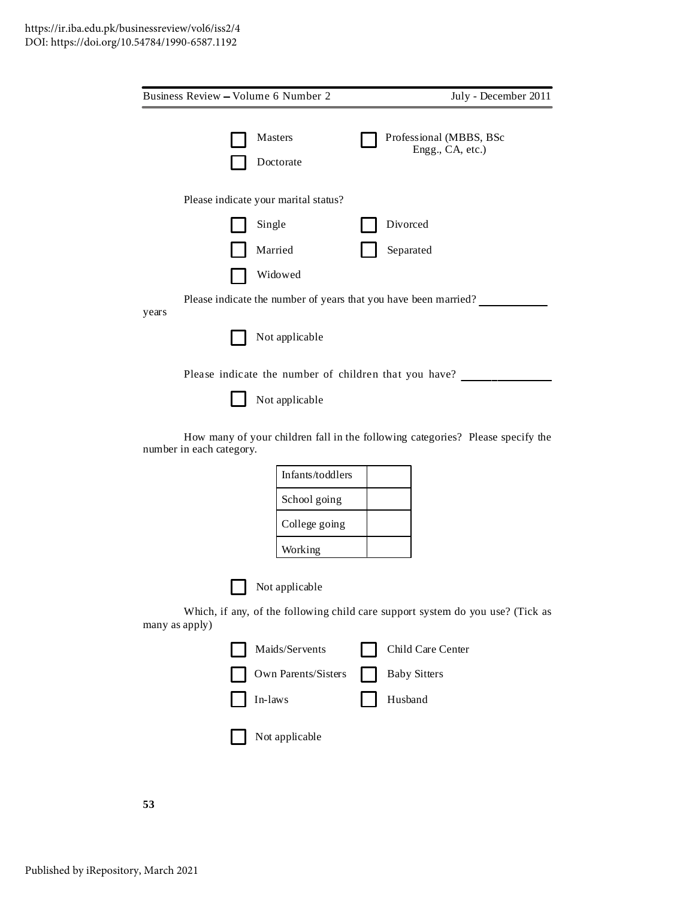| Business Review - Volume 6 Number 2 |                                      | July - December 2011                                                           |
|-------------------------------------|--------------------------------------|--------------------------------------------------------------------------------|
|                                     | Masters<br>Doctorate                 | Professional (MBBS, BSc<br>Engg., CA, etc.)                                    |
|                                     | Please indicate your marital status? |                                                                                |
|                                     | Single                               | Divorced                                                                       |
|                                     | Married                              | Separated                                                                      |
|                                     | Widowed                              |                                                                                |
| years                               |                                      | Please indicate the number of years that you have been married?                |
|                                     | Not applicable                       |                                                                                |
|                                     |                                      | Please indicate the number of children that you have?                          |
|                                     | Not applicable                       |                                                                                |
| number in each category.            |                                      | How many of your children fall in the following categories? Please specify the |
|                                     | Infants/toddlers                     |                                                                                |
|                                     | School going                         |                                                                                |
|                                     | College going                        |                                                                                |
|                                     | Working                              |                                                                                |
|                                     | Not applicable                       |                                                                                |
| many as apply)                      |                                      | Which, if any, of the following child care support system do you use? (Tick as |
|                                     | Maids/Servents                       | Child Care Center                                                              |
|                                     | Own Parents/Sisters                  | <b>Baby Sitters</b>                                                            |
|                                     | In-laws                              | Husband                                                                        |
|                                     | Not applicable                       |                                                                                |
|                                     |                                      |                                                                                |

**53**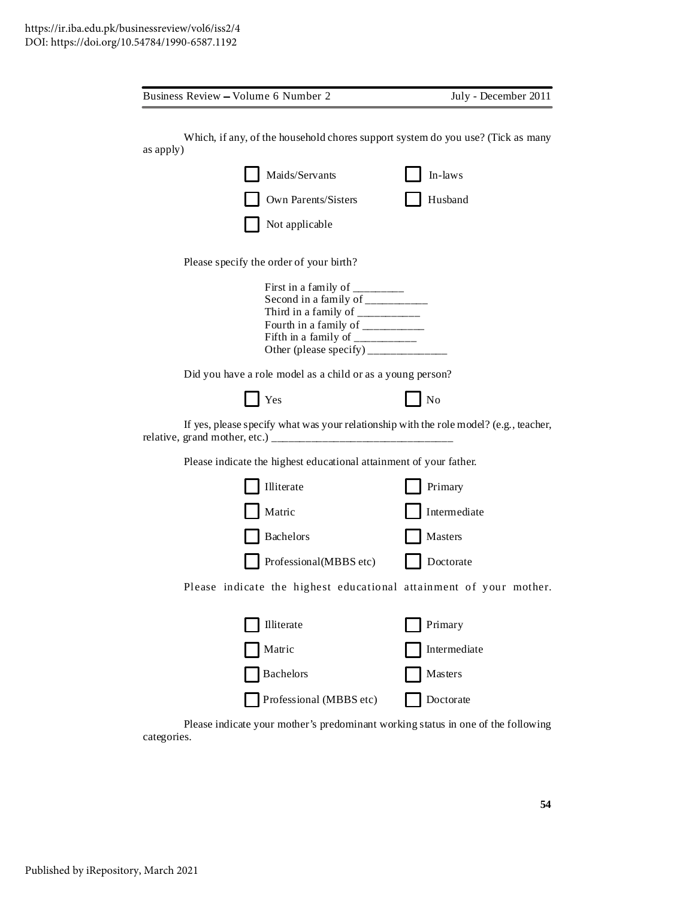| Business Review - Volume 6 Number 2                                                                                                                                                                 | July - December 2011 |
|-----------------------------------------------------------------------------------------------------------------------------------------------------------------------------------------------------|----------------------|
| Which, if any, of the household chores support system do you use? (Tick as many<br>as apply)<br>Maids/Servants                                                                                      | In-laws              |
| Own Parents/Sisters<br>Not applicable                                                                                                                                                               | Husband              |
| Please specify the order of your birth?<br>First in a family of _______<br>Second in a family of __________<br>Fifth in a family of $\frac{1}{\frac{1}{2}}$<br>Other (please specify) $\frac{1}{2}$ |                      |
| Did you have a role model as a child or as a young person?                                                                                                                                          |                      |
| Yes                                                                                                                                                                                                 | N <sub>o</sub>       |
| If yes, please specify what was your relationship with the role model? (e.g., teacher,                                                                                                              |                      |
| Please indicate the highest educational attainment of your father.                                                                                                                                  |                      |
| Illiterate                                                                                                                                                                                          | Primary              |
| Matric                                                                                                                                                                                              | Intermediate         |
| <b>Bachelors</b>                                                                                                                                                                                    | Masters              |
| Professional(MBBS etc)                                                                                                                                                                              | Doctorate            |
| Please indicate the highest educational attainment of your mother.                                                                                                                                  |                      |
| Illiterate                                                                                                                                                                                          | Primary              |
| Matric                                                                                                                                                                                              | Intermediate         |
| <b>Bachelors</b>                                                                                                                                                                                    | Masters              |
| Professional (MBBS etc)                                                                                                                                                                             | Doctorate            |

Please indicate your mother's predominant working status in one of the following categories.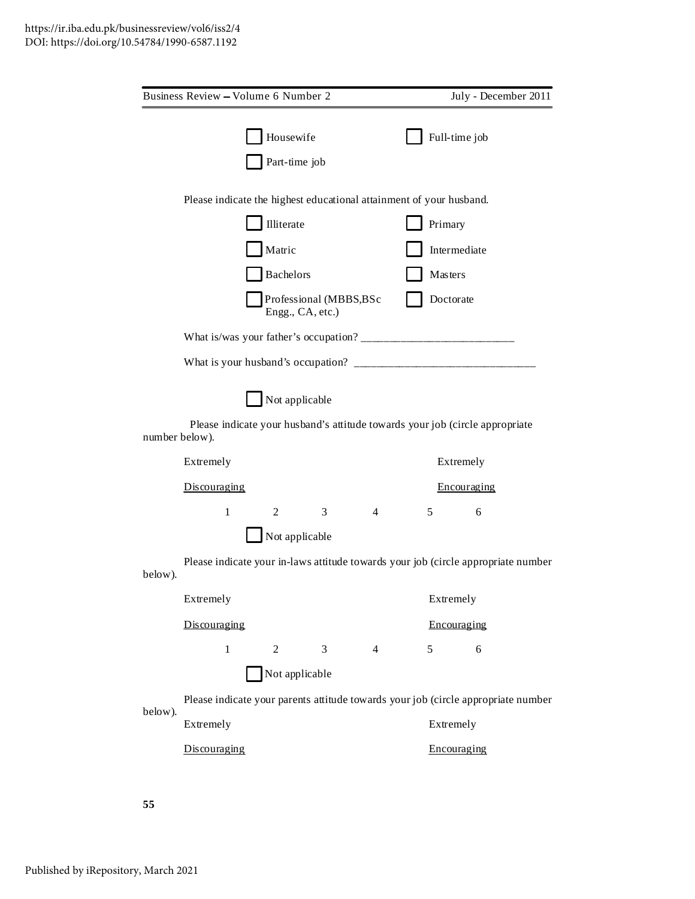|                | Business Review - Volume 6 Number 2                                               |  |                            |                                            |                |  |               | July - December 2011                                                              |  |  |
|----------------|-----------------------------------------------------------------------------------|--|----------------------------|--------------------------------------------|----------------|--|---------------|-----------------------------------------------------------------------------------|--|--|
|                |                                                                                   |  | Housewife<br>Part-time job |                                            |                |  | Full-time job |                                                                                   |  |  |
|                | Please indicate the highest educational attainment of your husband.               |  |                            |                                            |                |  |               |                                                                                   |  |  |
|                |                                                                                   |  | Illiterate                 |                                            |                |  | Primary       |                                                                                   |  |  |
|                |                                                                                   |  | Matric                     |                                            |                |  | Intermediate  |                                                                                   |  |  |
|                |                                                                                   |  | Bachelors                  |                                            |                |  | Masters       |                                                                                   |  |  |
|                |                                                                                   |  |                            | Professional (MBBS,BSc<br>Engg., CA, etc.) |                |  | Doctorate     |                                                                                   |  |  |
|                |                                                                                   |  |                            |                                            |                |  |               |                                                                                   |  |  |
|                |                                                                                   |  |                            |                                            |                |  |               |                                                                                   |  |  |
|                |                                                                                   |  | Not applicable             |                                            |                |  |               |                                                                                   |  |  |
| number below). |                                                                                   |  |                            |                                            |                |  |               | Please indicate your husband's attitude towards your job (circle appropriate      |  |  |
|                | Extremely                                                                         |  |                            |                                            |                |  | Extremely     |                                                                                   |  |  |
|                | Discouraging                                                                      |  |                            |                                            |                |  | Encouraging   |                                                                                   |  |  |
|                | $\mathbf{1}$                                                                      |  | $\overline{2}$             | $\mathfrak{Z}$                             | $\overline{4}$ |  | 5             | 6                                                                                 |  |  |
|                |                                                                                   |  | Not applicable             |                                            |                |  |               |                                                                                   |  |  |
| below).        |                                                                                   |  |                            |                                            |                |  |               | Please indicate your in-laws attitude towards your job (circle appropriate number |  |  |
|                | Extremely                                                                         |  |                            |                                            |                |  | Extremely     |                                                                                   |  |  |
|                | Discouraging                                                                      |  |                            |                                            |                |  | Encouraging   |                                                                                   |  |  |
|                | $\mathbf{1}$                                                                      |  | $\overline{2}$             | 3                                          | $\overline{4}$ |  | 5             | 6                                                                                 |  |  |
|                |                                                                                   |  | Not applicable             |                                            |                |  |               |                                                                                   |  |  |
| below).        | Please indicate your parents attitude towards your job (circle appropriate number |  |                            |                                            |                |  |               |                                                                                   |  |  |
|                | Extremely                                                                         |  |                            |                                            |                |  | Extremely     |                                                                                   |  |  |
|                | Discouraging                                                                      |  |                            |                                            |                |  | Encouraging   |                                                                                   |  |  |
|                |                                                                                   |  |                            |                                            |                |  |               |                                                                                   |  |  |

**55**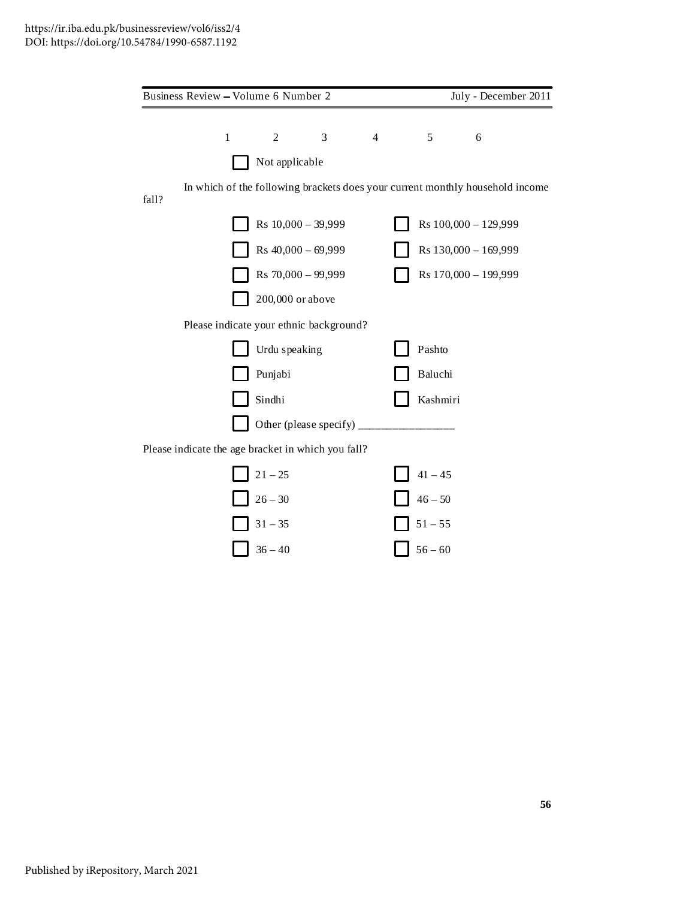|       | Business Review – Volume 6 Number 2                |                               |   |   |           | July - December 2011                                                          |  |
|-------|----------------------------------------------------|-------------------------------|---|---|-----------|-------------------------------------------------------------------------------|--|
|       |                                                    |                               |   |   |           |                                                                               |  |
|       | $\mathbf{1}$                                       | $\overline{c}$                | 3 | 4 | 5         | 6                                                                             |  |
|       |                                                    | Not applicable                |   |   |           |                                                                               |  |
| fall? |                                                    |                               |   |   |           | In which of the following brackets does your current monthly household income |  |
|       |                                                    | Rs 10,000 - 39,999            |   |   |           | Rs 100,000 - 129,999                                                          |  |
|       |                                                    | Rs $40,000 - 69,999$          |   |   |           | Rs 130,000 - 169,999                                                          |  |
|       |                                                    | Rs 70,000 - 99,999            |   |   |           | Rs 170,000 - 199,999                                                          |  |
|       |                                                    | 200,000 or above              |   |   |           |                                                                               |  |
|       | Please indicate your ethnic background?            |                               |   |   |           |                                                                               |  |
|       |                                                    | Urdu speaking                 |   |   | Pashto    |                                                                               |  |
|       |                                                    | Punjabi                       |   |   | Baluchi   |                                                                               |  |
|       |                                                    | Sindhi                        |   |   | Kashmiri  |                                                                               |  |
|       |                                                    | Other (please specify) $_{-}$ |   |   |           |                                                                               |  |
|       | Please indicate the age bracket in which you fall? |                               |   |   |           |                                                                               |  |
|       |                                                    | $21 - 25$                     |   |   | $41 - 45$ |                                                                               |  |
|       |                                                    | $26 - 30$                     |   |   | $46 - 50$ |                                                                               |  |
|       |                                                    | $31 - 35$                     |   |   | $51 - 55$ |                                                                               |  |
|       |                                                    | $36 - 40$                     |   |   | $56 - 60$ |                                                                               |  |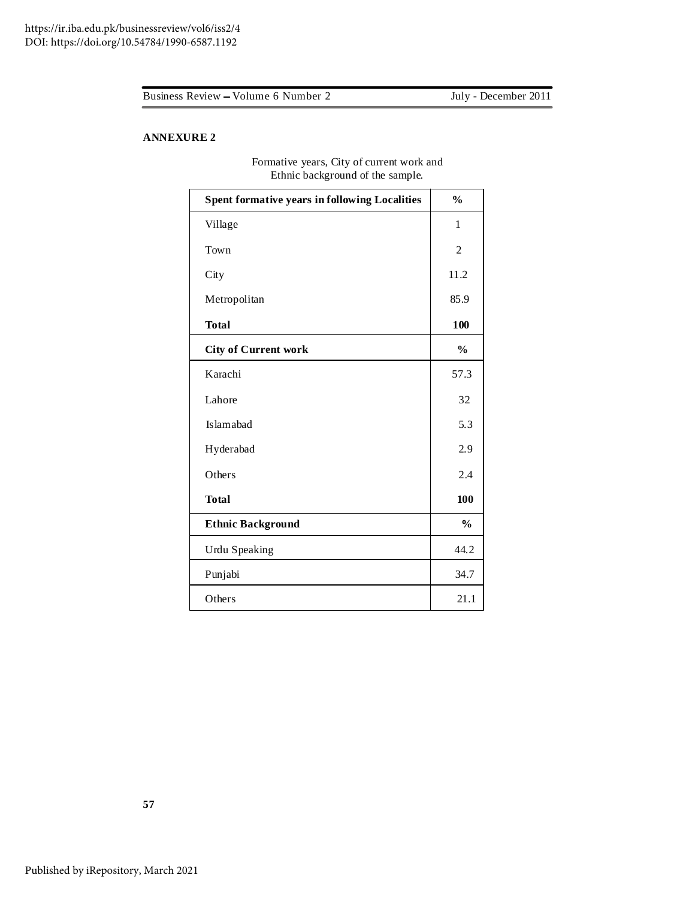July - December 2011

# **ANNEXURE 2**

| Limit background of the sample.                      |                |
|------------------------------------------------------|----------------|
| <b>Spent formative years in following Localities</b> | $\frac{0}{0}$  |
| Village                                              | $\mathbf{1}$   |
| Town                                                 | $\overline{c}$ |
| City                                                 | 11.2           |
| Metropolitan                                         | 85.9           |
| <b>Total</b>                                         | 100            |
| <b>City of Current work</b>                          | $\frac{0}{0}$  |
| Karachi                                              | 57.3           |
| Lahore                                               | 32             |
| Islamabad                                            | 5.3            |
| Hyderabad                                            | 2.9            |
| Others                                               | 2.4            |
| <b>Total</b>                                         | 100            |
| <b>Ethnic Background</b>                             | $\frac{0}{0}$  |
| <b>Urdu Speaking</b>                                 | 44.2           |
| Punjabi                                              | 34.7           |
| Others                                               | 21.1           |

Formative years, City of current work and Ethnic background of the sample.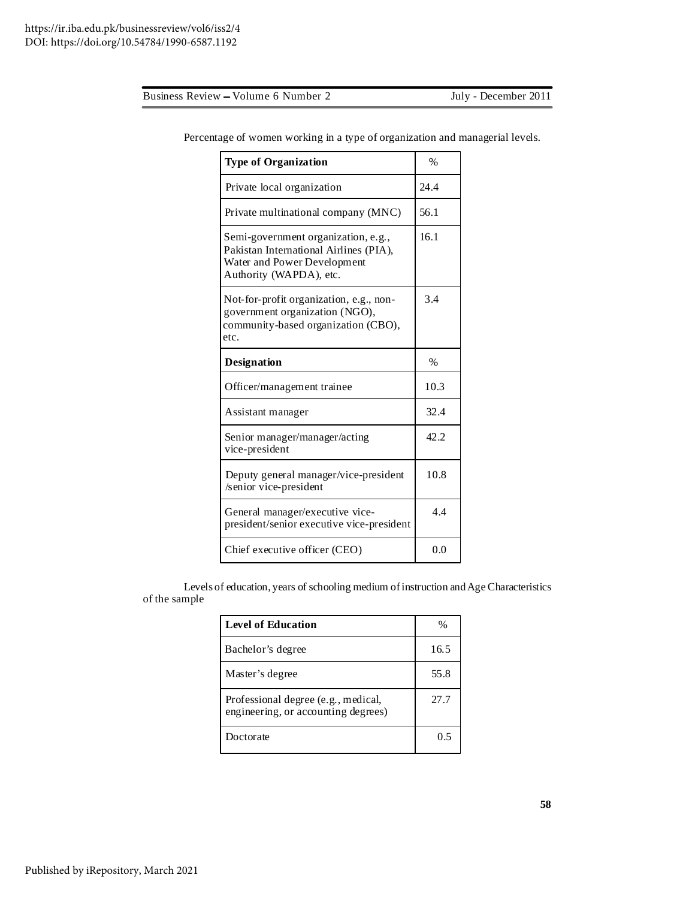https://ir.iba.edu.pk/businessreview/vol6/iss2/4 DOI: https://doi.org/10.54784/1990-6587.1192

| <b>Type of Organization</b>                                                                                                             | $\frac{0}{0}$ |
|-----------------------------------------------------------------------------------------------------------------------------------------|---------------|
| Private local organization                                                                                                              | 24.4          |
| Private multinational company (MNC)                                                                                                     | 56.1          |
| Semi-government organization, e.g.,<br>Pakistan International Airlines (PIA),<br>Water and Power Development<br>Authority (WAPDA), etc. | 16.1          |
| Not-for-profit organization, e.g., non-<br>government organization (NGO),<br>community-based organization (CBO),<br>etc.                | 3.4           |
| <b>Designation</b>                                                                                                                      | $\%$          |
| Officer/management trainee                                                                                                              | 10.3          |
| Assistant manager                                                                                                                       | 32.4          |
| Senior manager/manager/acting<br>vice-president                                                                                         | 42.2.         |
| Deputy general manager/vice-president<br>/senior vice-president                                                                         | 10.8          |
| General manager/executive vice-<br>president/senior executive vice-president                                                            | 4.4           |
| Chief executive officer (CEO)                                                                                                           | 0.0           |

Percentage of women working in a type of organization and managerial levels.

Levels of education, years of schooling medium ofinstruction andAge Characteristics of the sample

| <b>Level of Education</b>                                                  | %    |
|----------------------------------------------------------------------------|------|
| Bachelor's degree                                                          | 16.5 |
| Master's degree                                                            | 55.8 |
| Professional degree (e.g., medical,<br>engineering, or accounting degrees) | 27.7 |
| Doctorate                                                                  | ი 5  |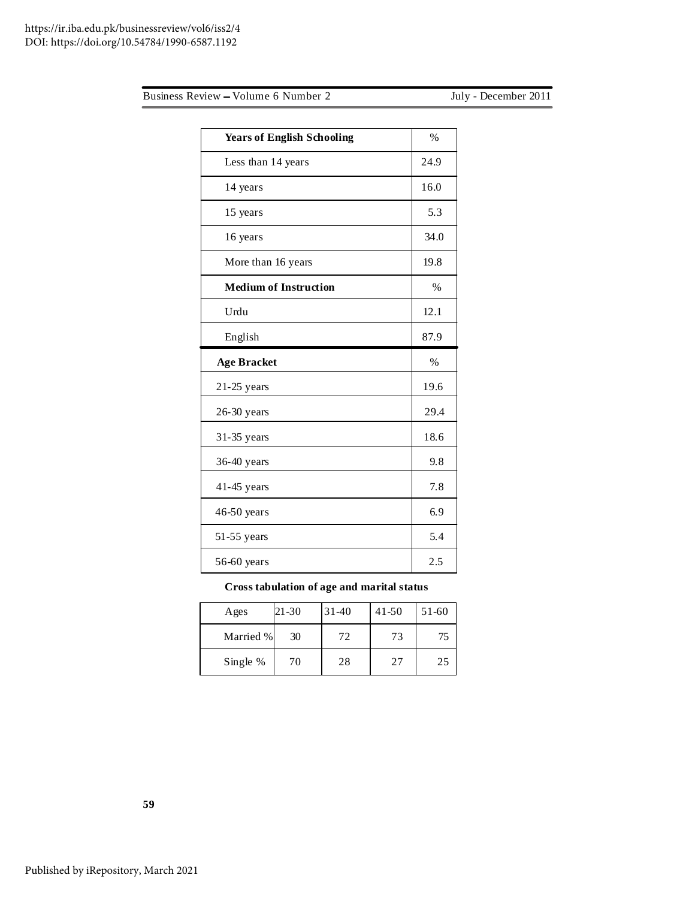| <b>Years of English Schooling</b> | $\%$          |
|-----------------------------------|---------------|
| Less than 14 years                | 24.9          |
| 14 years                          | 16.0          |
| 15 years                          | 5.3           |
| 16 years                          | 34.0          |
| More than 16 years                | 19.8          |
| <b>Medium of Instruction</b>      | $\frac{0}{0}$ |
| Urdu                              | 12.1          |
| English                           | 87.9          |
|                                   |               |
| <b>Age Bracket</b>                | $\%$          |
| $21-25$ years                     | 19.6          |
| 26-30 years                       | 29.4          |
| 31-35 years                       | 18.6          |
| 36-40 years                       | 9.8           |
| 41-45 years                       | 7.8           |
| 46-50 years                       | 6.9           |
| 51-55 years                       | 5.4           |

**Cross tabulation of age and marital status**

| Ages      | 21-30 | $31-40$ | $41 - 50$ | 51-60 |
|-----------|-------|---------|-----------|-------|
| Married % | 30    | 72      | 73        | 75    |
| Single %  | 70    | 28      | 27        | 25    |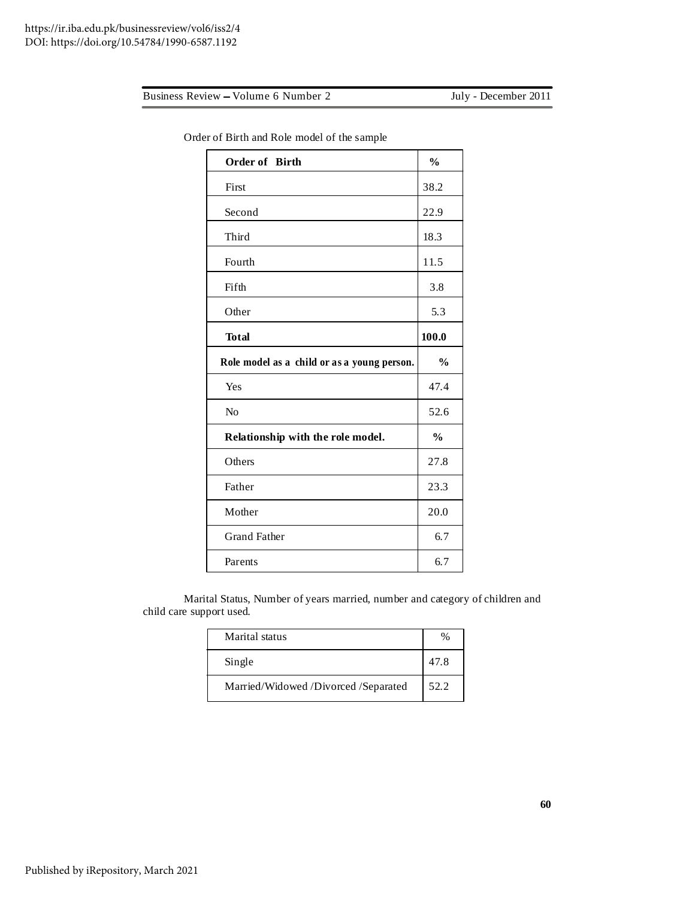| Order of Birth                              | $\frac{0}{0}$ |
|---------------------------------------------|---------------|
| First                                       | 38.2          |
| Second                                      | 22.9          |
| Third                                       | 18.3          |
| Fourth                                      | 11.5          |
| Fifth                                       | 3.8           |
| Other                                       | 5.3           |
| <b>Total</b>                                | 100.0         |
| Role model as a child or as a young person. | $\frac{0}{0}$ |
|                                             |               |
| Yes                                         | 47.4          |
| No                                          | 52.6          |
| Relationship with the role model.           | $\frac{0}{0}$ |
| Others                                      | 27.8          |
| Father                                      | 23.3          |
| Mother                                      | 20.0          |
| <b>Grand Father</b>                         | 6.7           |

Order of Birth and Role model of the sample

Marital Status, Number of years married, number and category of children and child care support used.

| Marital status                       |      |
|--------------------------------------|------|
| Single                               | 47.8 |
| Married/Widowed /Divorced /Separated | 52.2 |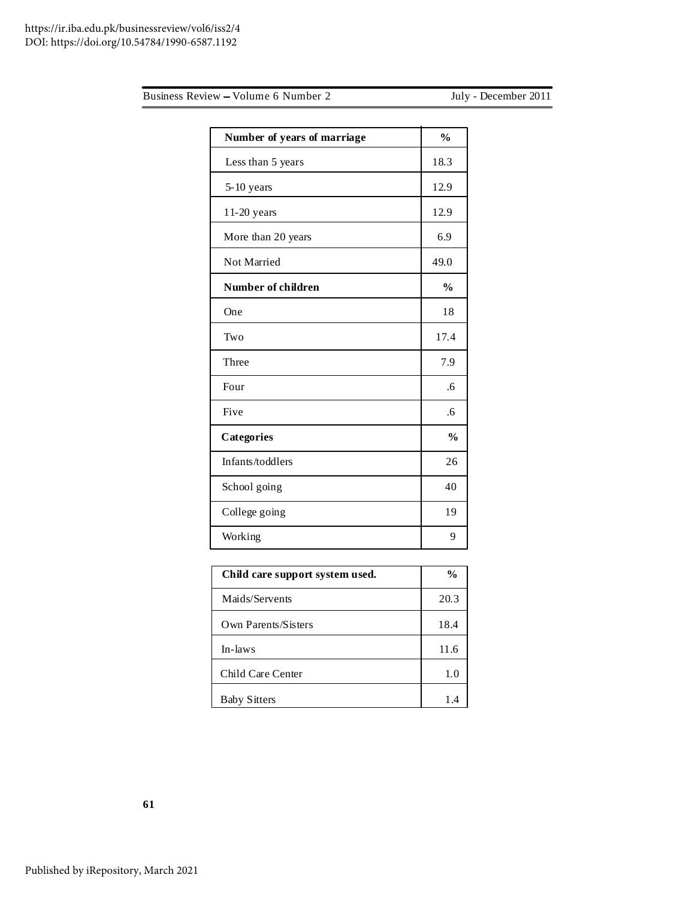|  |  | Business Review – Volume 6 Number 2 |
|--|--|-------------------------------------|
|  |  |                                     |

July - December 2011

| Number of years of marriage | $\frac{0}{0}$ |
|-----------------------------|---------------|
| Less than 5 years           | 18.3          |
| $5-10$ years                | 12.9          |
| 11-20 years                 | 12.9          |
| More than 20 years          | 6.9           |
| Not Married                 | 49.0          |
| Number of children          | $\frac{0}{0}$ |
| One                         | 18            |
| Two                         | 17.4          |
| Three                       | 7.9           |
| Four                        | .6            |
| Five                        | .6            |
| Categories                  | $\frac{0}{0}$ |
| Infants/toddlers            | 26            |
| School going                | 40            |
| College going               | 19            |
| Working                     | 9             |

| Child care support system used. | $\frac{6}{9}$ |
|---------------------------------|---------------|
| Maids/Servents                  | 20.3          |
| Own Parents/Sisters             | 18.4          |
| In-laws                         | 11.6          |
| Child Care Center               | 1.0           |
| <b>Baby Sitters</b>             | 1.4           |

**61**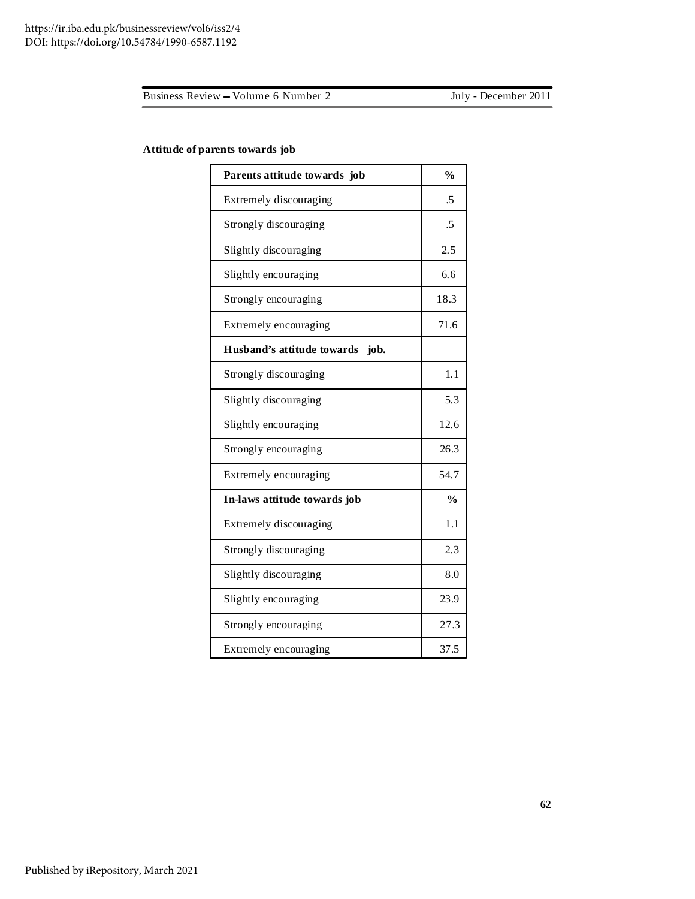### **Attitude of parents towards job**

| Parents attitude towards job       | $\frac{0}{0}$ |
|------------------------------------|---------------|
| Extremely discouraging             | .5            |
| Strongly discouraging              | .5            |
| Slightly discouraging              | 2.5           |
| Slightly encouraging               | 6.6           |
| Strongly encouraging               | 18.3          |
| Extremely encouraging              | 71.6          |
| Husband's attitude towards<br>job. |               |
| Strongly discouraging              | 1.1           |
| Slightly discouraging              | 5.3           |
| Slightly encouraging               | 12.6          |
| Strongly encouraging               | 26.3          |
| Extremely encouraging              | 54.7          |
| In-laws attitude towards job       | $\frac{0}{0}$ |
| Extremely discouraging             | 1.1           |
| Strongly discouraging              | 2.3           |
| Slightly discouraging              | 8.0           |
| Slightly encouraging               | 23.9          |
| Strongly encouraging               | 27.3          |
| Extremely encouraging              | 37.5          |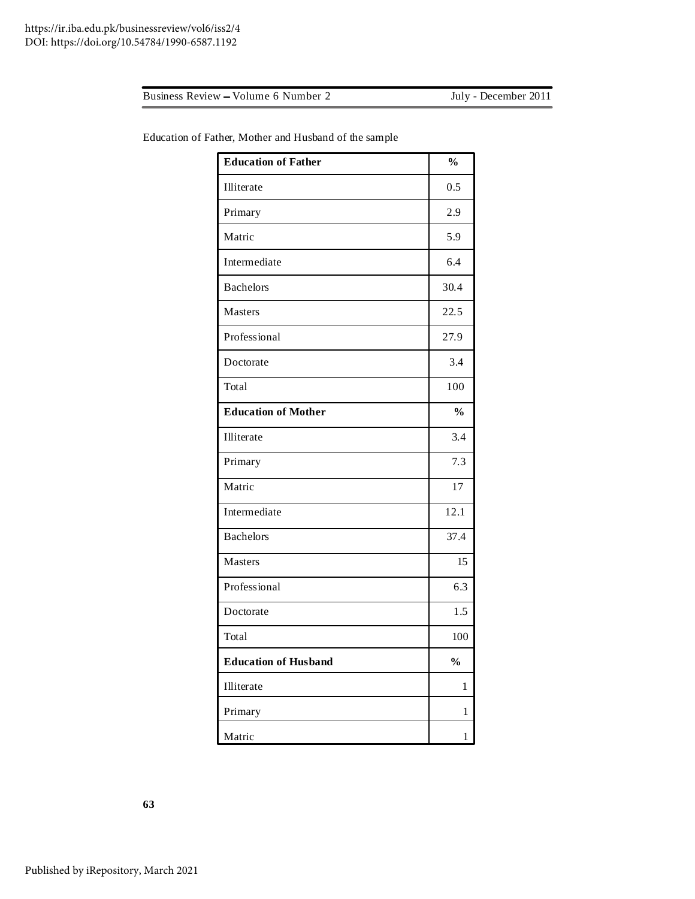| <b>Education of Father</b>  | $\frac{0}{0}$ |
|-----------------------------|---------------|
| Illiterate                  | 0.5           |
| Primary                     | 2.9           |
| Matric                      | 5.9           |
| Intermediate                | 6.4           |
| <b>Bachelors</b>            | 30.4          |
| Masters                     | 22.5          |
| Professional                | 27.9          |
| Doctorate                   | 3.4           |
| Total                       | 100           |
| <b>Education of Mother</b>  | $\frac{0}{0}$ |
| Illiterate                  | 3.4           |
| Primary                     | 7.3           |
| Matric                      | 17            |
| Intermediate                | 12.1          |
| <b>Bachelors</b>            | 37.4          |
| Masters                     | 15            |
| Professional                | 6.3           |
| Doctorate                   | 1.5           |
| Total                       | 100           |
| <b>Education of Husband</b> | $\frac{0}{0}$ |
| Illiterate                  | $\mathbf{1}$  |
| Primary                     | 1             |
| Matric                      | 1             |

Education of Father, Mother and Husband of the sample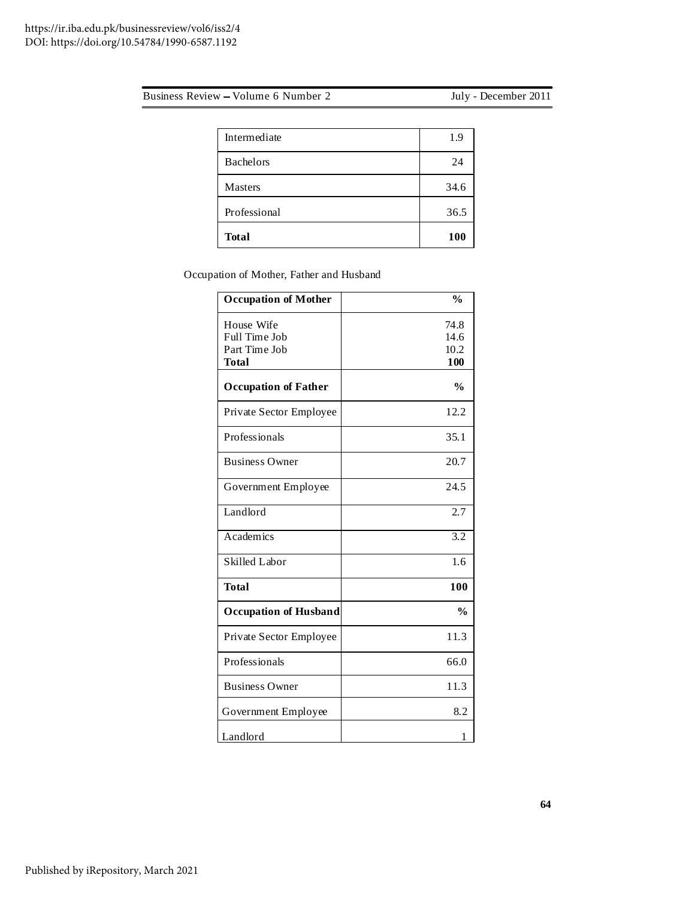| Intermediate     | 1.9  |
|------------------|------|
| <b>Bachelors</b> | 24   |
| <b>Masters</b>   | 34.6 |
| Professional     | 36.5 |
| <b>Total</b>     | 100  |

Occupation of Mother, Father and Husband

| <b>Occupation of Mother</b>                                  | $\frac{0}{0}$               |
|--------------------------------------------------------------|-----------------------------|
| House Wife<br>Full Time Job<br>Part Time Job<br><b>Total</b> | 74.8<br>14.6<br>10.2<br>100 |
| <b>Occupation of Father</b>                                  | $\frac{0}{0}$               |
| Private Sector Employee                                      | 12.2                        |
| Professionals                                                | 35.1                        |
| <b>Business Owner</b>                                        | 20.7                        |
| Government Employee                                          | 24.5                        |
| Landlord                                                     | 2.7                         |
| Academics                                                    | $\overline{3.2}$            |
| Skilled Labor                                                | 1.6                         |
| <b>Total</b>                                                 | 100                         |
| <b>Occupation of Husband</b>                                 | $\frac{0}{0}$               |
| Private Sector Employee                                      | 11.3                        |
| Professionals                                                | 66.0                        |
| <b>Business Owner</b>                                        | 11.3                        |
| Government Employee                                          | 8.2                         |
| Landlord                                                     | 1                           |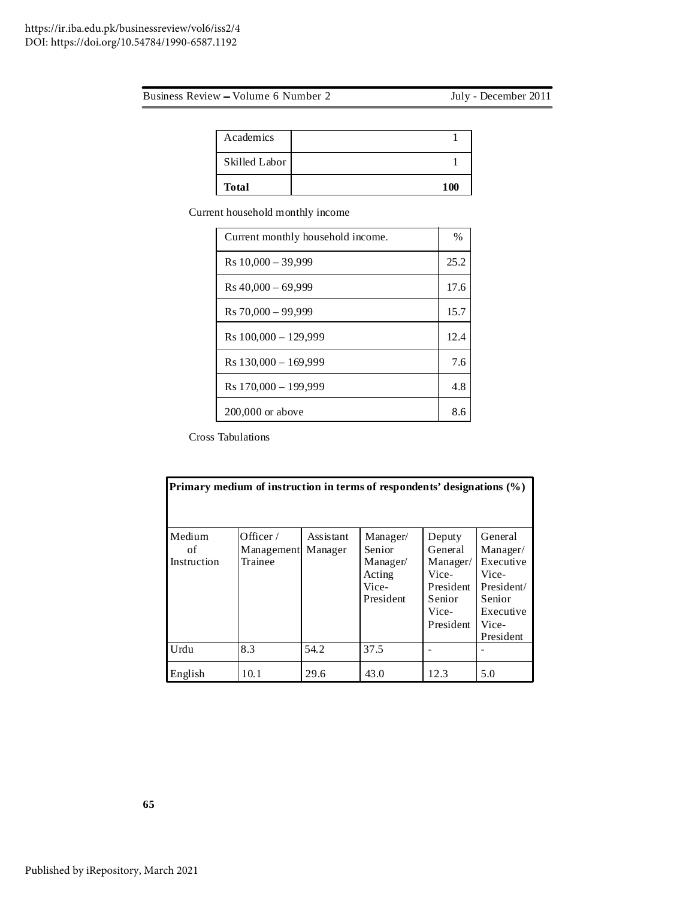| <b>Total</b>  | 100 |
|---------------|-----|
| Skilled Labor |     |
| Academics     |     |

Current household monthly income

| Current monthly household income. |      |
|-----------------------------------|------|
| $Rs 10,000 - 39,999$              | 25.2 |
| $Rs 40,000 - 69,999$              | 17.6 |
| $Rs 70,000 - 99,999$              | 15.7 |
| $Rs 100,000 - 129,999$            | 12.4 |
| $Rs 130,000 - 169,999$            | 7.6  |
| R <sub>s</sub> 170,000 - 199,999  | 4.8  |
| $200,000$ or above                | 8.6  |

Cross Tabulations

| Primary medium of instruction in terms of respondents' designations (%) |                                      |                      |                                                                       |                                                                                     |                                                                                                      |  |  |
|-------------------------------------------------------------------------|--------------------------------------|----------------------|-----------------------------------------------------------------------|-------------------------------------------------------------------------------------|------------------------------------------------------------------------------------------------------|--|--|
| Medium<br>of<br>Instruction                                             | Officer $/$<br>Management<br>Trainee | Assistant<br>Manager | Manager/<br><b>Senior</b><br>Manager/<br>Acting<br>Vice-<br>President | Deputy<br>General<br>Manager/<br>Vice-<br>President<br>Senior<br>Vice-<br>President | General<br>Manager/<br>Executive<br>Vice-<br>President/<br>Senior<br>Executive<br>Vice-<br>President |  |  |
| Urdu                                                                    | 8.3                                  | 54.2                 | 37.5                                                                  |                                                                                     |                                                                                                      |  |  |
| English                                                                 | 10.1                                 | 29.6                 | 43.0                                                                  | 12.3                                                                                | 5.0                                                                                                  |  |  |